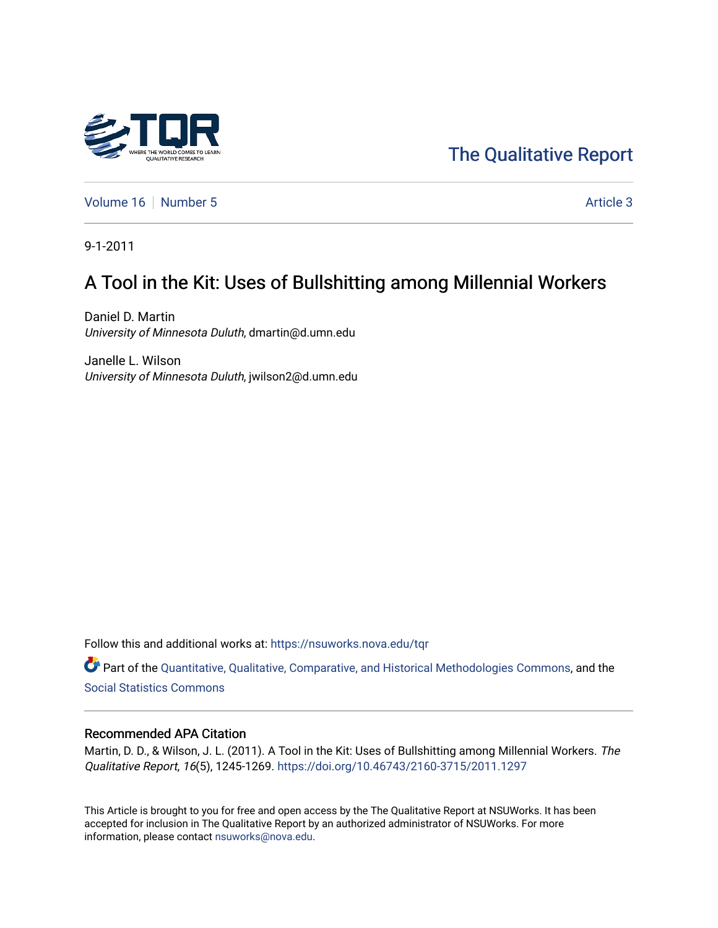

# [The Qualitative Report](https://nsuworks.nova.edu/tqr)

[Volume 16](https://nsuworks.nova.edu/tqr/vol16) [Number 5](https://nsuworks.nova.edu/tqr/vol16/iss5) Article 3

9-1-2011

# A Tool in the Kit: Uses of Bullshitting among Millennial Workers

Daniel D. Martin University of Minnesota Duluth, dmartin@d.umn.edu

Janelle L. Wilson University of Minnesota Duluth, jwilson2@d.umn.edu

Follow this and additional works at: [https://nsuworks.nova.edu/tqr](https://nsuworks.nova.edu/tqr?utm_source=nsuworks.nova.edu%2Ftqr%2Fvol16%2Fiss5%2F3&utm_medium=PDF&utm_campaign=PDFCoverPages) 

Part of the [Quantitative, Qualitative, Comparative, and Historical Methodologies Commons,](http://network.bepress.com/hgg/discipline/423?utm_source=nsuworks.nova.edu%2Ftqr%2Fvol16%2Fiss5%2F3&utm_medium=PDF&utm_campaign=PDFCoverPages) and the [Social Statistics Commons](http://network.bepress.com/hgg/discipline/1275?utm_source=nsuworks.nova.edu%2Ftqr%2Fvol16%2Fiss5%2F3&utm_medium=PDF&utm_campaign=PDFCoverPages) 

#### Recommended APA Citation

Martin, D. D., & Wilson, J. L. (2011). A Tool in the Kit: Uses of Bullshitting among Millennial Workers. The Qualitative Report, 16(5), 1245-1269. <https://doi.org/10.46743/2160-3715/2011.1297>

This Article is brought to you for free and open access by the The Qualitative Report at NSUWorks. It has been accepted for inclusion in The Qualitative Report by an authorized administrator of NSUWorks. For more information, please contact [nsuworks@nova.edu.](mailto:nsuworks@nova.edu)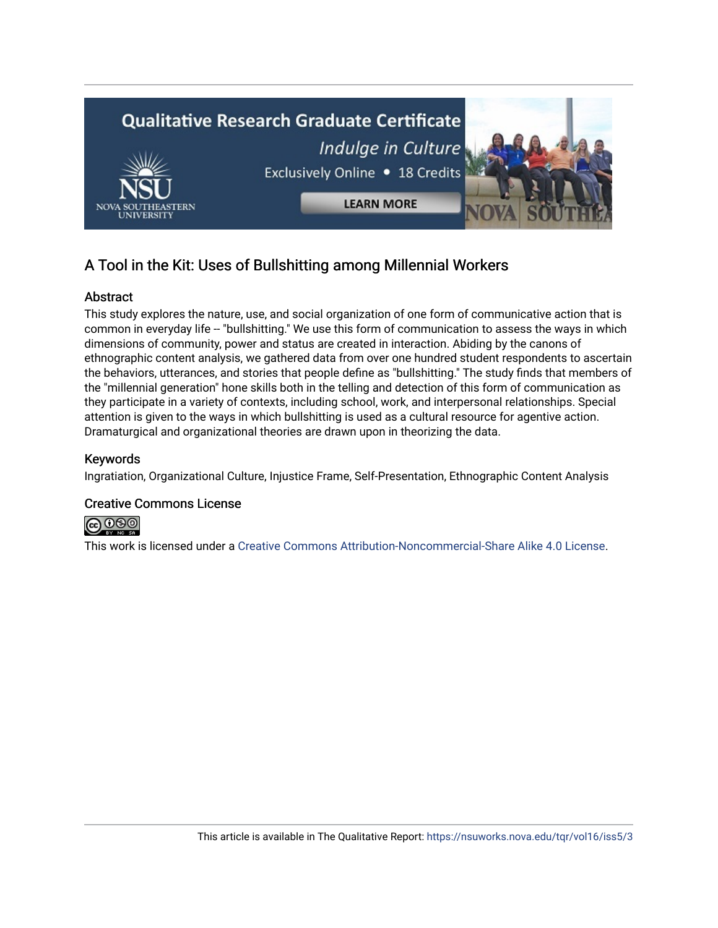

## A Tool in the Kit: Uses of Bullshitting among Millennial Workers

## **Abstract**

This study explores the nature, use, and social organization of one form of communicative action that is common in everyday life -- "bullshitting." We use this form of communication to assess the ways in which dimensions of community, power and status are created in interaction. Abiding by the canons of ethnographic content analysis, we gathered data from over one hundred student respondents to ascertain the behaviors, utterances, and stories that people define as "bullshitting." The study finds that members of the "millennial generation" hone skills both in the telling and detection of this form of communication as they participate in a variety of contexts, including school, work, and interpersonal relationships. Special attention is given to the ways in which bullshitting is used as a cultural resource for agentive action. Dramaturgical and organizational theories are drawn upon in theorizing the data.

## Keywords

Ingratiation, Organizational Culture, Injustice Frame, Self-Presentation, Ethnographic Content Analysis

## Creative Commons License



This work is licensed under a [Creative Commons Attribution-Noncommercial-Share Alike 4.0 License](https://creativecommons.org/licenses/by-nc-sa/4.0/).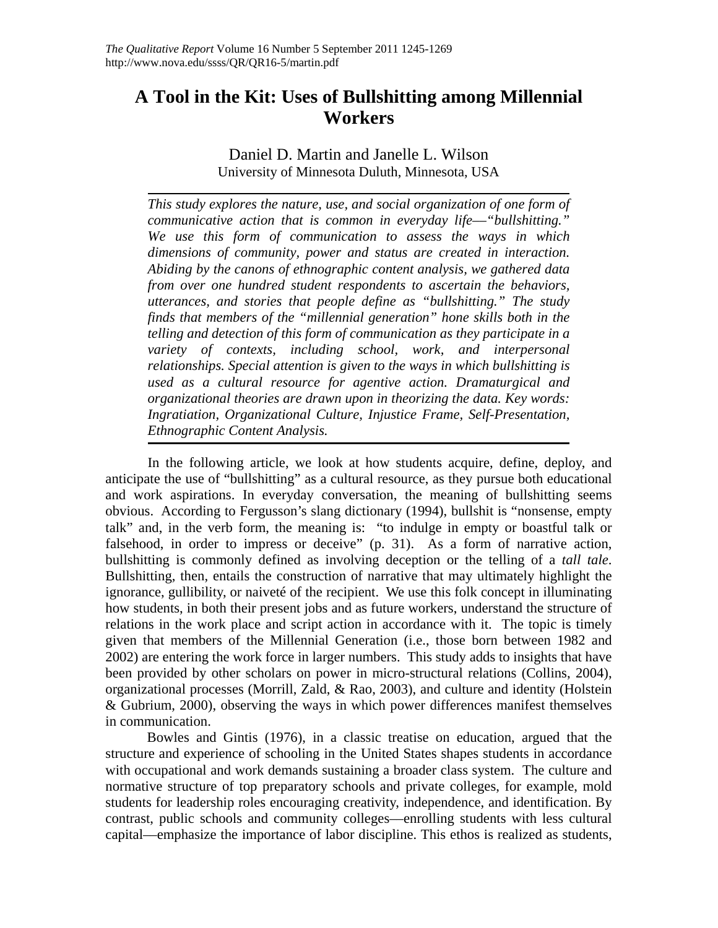## **A Tool in the Kit: Uses of Bullshitting among Millennial Workers**

Daniel D. Martin and Janelle L. Wilson University of Minnesota Duluth, Minnesota, USA

*This study explores the nature, use, and social organization of one form of communicative action that is common in everyday life––"bullshitting." We use this form of communication to assess the ways in which dimensions of community, power and status are created in interaction. Abiding by the canons of ethnographic content analysis, we gathered data from over one hundred student respondents to ascertain the behaviors, utterances, and stories that people define as "bullshitting." The study finds that members of the "millennial generation" hone skills both in the telling and detection of this form of communication as they participate in a variety of contexts, including school, work, and interpersonal relationships. Special attention is given to the ways in which bullshitting is used as a cultural resource for agentive action. Dramaturgical and organizational theories are drawn upon in theorizing the data. Key words: Ingratiation, Organizational Culture, Injustice Frame, Self-Presentation, Ethnographic Content Analysis.* 

In the following article, we look at how students acquire, define, deploy, and anticipate the use of "bullshitting" as a cultural resource, as they pursue both educational and work aspirations. In everyday conversation, the meaning of bullshitting seems obvious. According to Fergusson's slang dictionary (1994), bullshit is "nonsense, empty talk" and, in the verb form, the meaning is: "to indulge in empty or boastful talk or falsehood, in order to impress or deceive" (p. 31). As a form of narrative action, bullshitting is commonly defined as involving deception or the telling of a *tall tale*. Bullshitting, then, entails the construction of narrative that may ultimately highlight the ignorance, gullibility, or naiveté of the recipient. We use this folk concept in illuminating how students, in both their present jobs and as future workers, understand the structure of relations in the work place and script action in accordance with it. The topic is timely given that members of the Millennial Generation (i.e., those born between 1982 and 2002) are entering the work force in larger numbers. This study adds to insights that have been provided by other scholars on power in micro-structural relations (Collins, 2004), organizational processes (Morrill, Zald, & Rao, 2003), and culture and identity (Holstein & Gubrium, 2000), observing the ways in which power differences manifest themselves in communication.

Bowles and Gintis (1976), in a classic treatise on education, argued that the structure and experience of schooling in the United States shapes students in accordance with occupational and work demands sustaining a broader class system. The culture and normative structure of top preparatory schools and private colleges, for example, mold students for leadership roles encouraging creativity, independence, and identification. By contrast, public schools and community colleges––enrolling students with less cultural capital––emphasize the importance of labor discipline. This ethos is realized as students,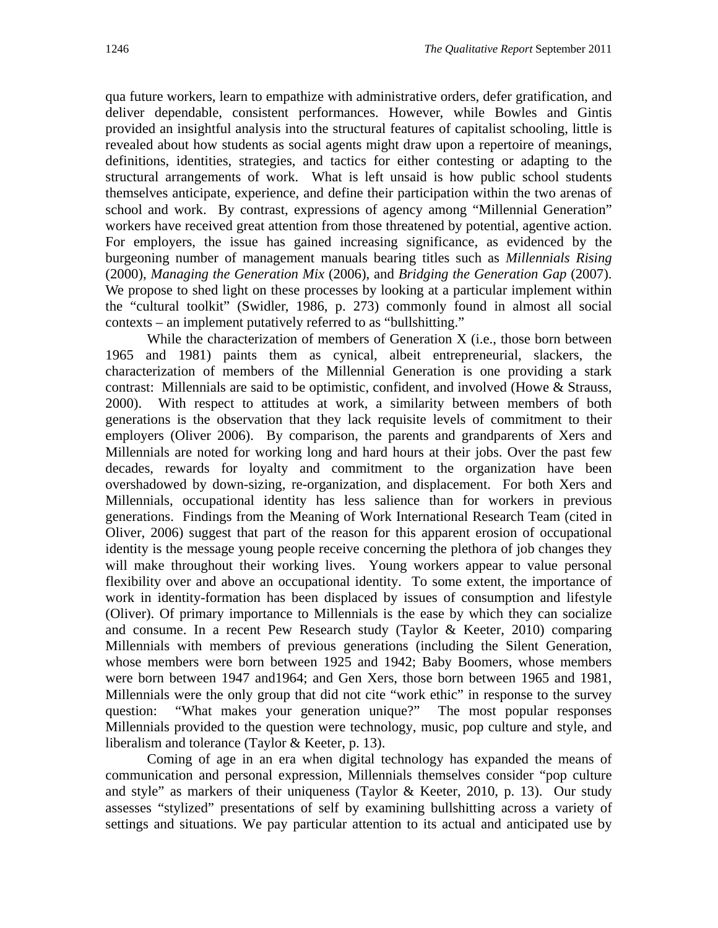qua future workers, learn to empathize with administrative orders, defer gratification, and deliver dependable, consistent performances. However, while Bowles and Gintis provided an insightful analysis into the structural features of capitalist schooling, little is revealed about how students as social agents might draw upon a repertoire of meanings, definitions, identities, strategies, and tactics for either contesting or adapting to the structural arrangements of work. What is left unsaid is how public school students themselves anticipate, experience, and define their participation within the two arenas of school and work. By contrast, expressions of agency among "Millennial Generation" workers have received great attention from those threatened by potential, agentive action. For employers, the issue has gained increasing significance, as evidenced by the burgeoning number of management manuals bearing titles such as *Millennials Rising*  (2000), *Managing the Generation Mix* (2006), and *Bridging the Generation Gap* (2007). We propose to shed light on these processes by looking at a particular implement within the "cultural toolkit" (Swidler, 1986, p. 273) commonly found in almost all social contexts – an implement putatively referred to as "bullshitting."

While the characterization of members of Generation X (i.e., those born between 1965 and 1981) paints them as cynical, albeit entrepreneurial, slackers, the characterization of members of the Millennial Generation is one providing a stark contrast: Millennials are said to be optimistic, confident, and involved (Howe & Strauss, 2000). With respect to attitudes at work, a similarity between members of both generations is the observation that they lack requisite levels of commitment to their employers (Oliver 2006). By comparison, the parents and grandparents of Xers and Millennials are noted for working long and hard hours at their jobs. Over the past few decades, rewards for loyalty and commitment to the organization have been overshadowed by down-sizing, re-organization, and displacement. For both Xers and Millennials, occupational identity has less salience than for workers in previous generations. Findings from the Meaning of Work International Research Team (cited in Oliver, 2006) suggest that part of the reason for this apparent erosion of occupational identity is the message young people receive concerning the plethora of job changes they will make throughout their working lives. Young workers appear to value personal flexibility over and above an occupational identity. To some extent, the importance of work in identity-formation has been displaced by issues of consumption and lifestyle (Oliver). Of primary importance to Millennials is the ease by which they can socialize and consume. In a recent Pew Research study (Taylor & Keeter, 2010) comparing Millennials with members of previous generations (including the Silent Generation, whose members were born between 1925 and 1942; Baby Boomers, whose members were born between 1947 and1964; and Gen Xers, those born between 1965 and 1981, Millennials were the only group that did not cite "work ethic" in response to the survey question: "What makes your generation unique?" The most popular responses Millennials provided to the question were technology, music, pop culture and style, and liberalism and tolerance (Taylor & Keeter, p. 13).

Coming of age in an era when digital technology has expanded the means of communication and personal expression, Millennials themselves consider "pop culture and style" as markers of their uniqueness (Taylor & Keeter, 2010, p. 13). Our study assesses "stylized" presentations of self by examining bullshitting across a variety of settings and situations. We pay particular attention to its actual and anticipated use by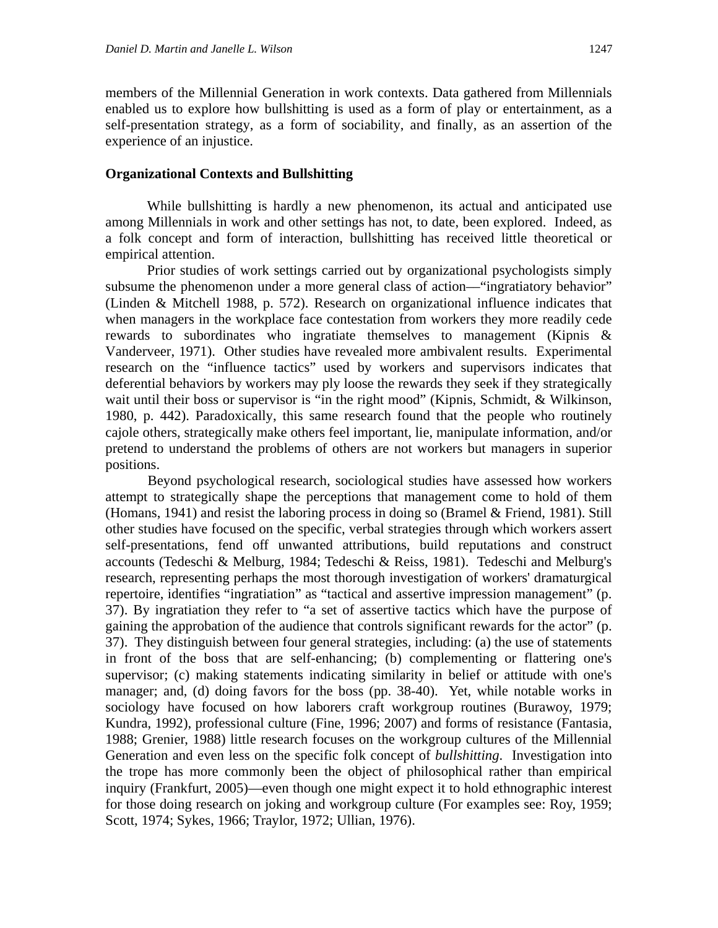members of the Millennial Generation in work contexts. Data gathered from Millennials enabled us to explore how bullshitting is used as a form of play or entertainment, as a self-presentation strategy, as a form of sociability, and finally, as an assertion of the experience of an injustice.

#### **Organizational Contexts and Bullshitting**

While bullshitting is hardly a new phenomenon, its actual and anticipated use among Millennials in work and other settings has not, to date, been explored. Indeed, as a folk concept and form of interaction, bullshitting has received little theoretical or empirical attention.

Prior studies of work settings carried out by organizational psychologists simply subsume the phenomenon under a more general class of action—"ingratiatory behavior" (Linden & Mitchell 1988, p. 572). Research on organizational influence indicates that when managers in the workplace face contestation from workers they more readily cede rewards to subordinates who ingratiate themselves to management (Kipnis & Vanderveer, 1971). Other studies have revealed more ambivalent results. Experimental research on the "influence tactics" used by workers and supervisors indicates that deferential behaviors by workers may ply loose the rewards they seek if they strategically wait until their boss or supervisor is "in the right mood" (Kipnis, Schmidt, & Wilkinson, 1980, p. 442). Paradoxically, this same research found that the people who routinely cajole others, strategically make others feel important, lie, manipulate information, and/or pretend to understand the problems of others are not workers but managers in superior positions.

 Beyond psychological research, sociological studies have assessed how workers attempt to strategically shape the perceptions that management come to hold of them (Homans, 1941) and resist the laboring process in doing so (Bramel & Friend, 1981). Still other studies have focused on the specific, verbal strategies through which workers assert self-presentations, fend off unwanted attributions, build reputations and construct accounts (Tedeschi & Melburg, 1984; Tedeschi & Reiss, 1981). Tedeschi and Melburg's research, representing perhaps the most thorough investigation of workers' dramaturgical repertoire, identifies "ingratiation" as "tactical and assertive impression management" (p. 37). By ingratiation they refer to "a set of assertive tactics which have the purpose of gaining the approbation of the audience that controls significant rewards for the actor" (p. 37). They distinguish between four general strategies, including: (a) the use of statements in front of the boss that are self-enhancing; (b) complementing or flattering one's supervisor; (c) making statements indicating similarity in belief or attitude with one's manager; and, (d) doing favors for the boss (pp. 38-40). Yet, while notable works in sociology have focused on how laborers craft workgroup routines (Burawoy, 1979; Kundra, 1992), professional culture (Fine, 1996; 2007) and forms of resistance (Fantasia, 1988; Grenier, 1988) little research focuses on the workgroup cultures of the Millennial Generation and even less on the specific folk concept of *bullshitting*. Investigation into the trope has more commonly been the object of philosophical rather than empirical inquiry (Frankfurt, 2005)––even though one might expect it to hold ethnographic interest for those doing research on joking and workgroup culture (For examples see: Roy, 1959; Scott, 1974; Sykes, 1966; Traylor, 1972; Ullian, 1976).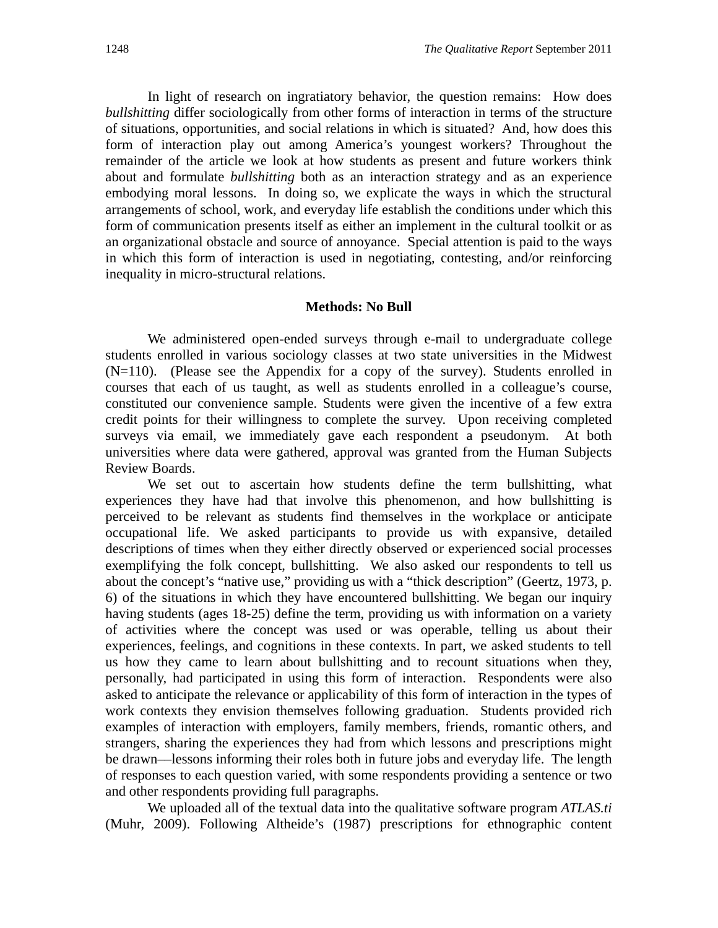In light of research on ingratiatory behavior, the question remains: How does *bullshitting* differ sociologically from other forms of interaction in terms of the structure of situations, opportunities, and social relations in which is situated? And, how does this form of interaction play out among America's youngest workers? Throughout the remainder of the article we look at how students as present and future workers think about and formulate *bullshitting* both as an interaction strategy and as an experience embodying moral lessons. In doing so, we explicate the ways in which the structural arrangements of school, work, and everyday life establish the conditions under which this form of communication presents itself as either an implement in the cultural toolkit or as an organizational obstacle and source of annoyance. Special attention is paid to the ways in which this form of interaction is used in negotiating, contesting, and/or reinforcing inequality in micro-structural relations.

#### **Methods: No Bull**

We administered open-ended surveys through e-mail to undergraduate college students enrolled in various sociology classes at two state universities in the Midwest (N=110). (Please see the Appendix for a copy of the survey). Students enrolled in courses that each of us taught, as well as students enrolled in a colleague's course, constituted our convenience sample. Students were given the incentive of a few extra credit points for their willingness to complete the survey. Upon receiving completed surveys via email, we immediately gave each respondent a pseudonym. At both universities where data were gathered, approval was granted from the Human Subjects Review Boards.

We set out to ascertain how students define the term bullshitting, what experiences they have had that involve this phenomenon, and how bullshitting is perceived to be relevant as students find themselves in the workplace or anticipate occupational life. We asked participants to provide us with expansive, detailed descriptions of times when they either directly observed or experienced social processes exemplifying the folk concept, bullshitting. We also asked our respondents to tell us about the concept's "native use," providing us with a "thick description" (Geertz, 1973, p. 6) of the situations in which they have encountered bullshitting. We began our inquiry having students (ages 18-25) define the term, providing us with information on a variety of activities where the concept was used or was operable, telling us about their experiences, feelings, and cognitions in these contexts. In part, we asked students to tell us how they came to learn about bullshitting and to recount situations when they, personally, had participated in using this form of interaction. Respondents were also asked to anticipate the relevance or applicability of this form of interaction in the types of work contexts they envision themselves following graduation. Students provided rich examples of interaction with employers, family members, friends, romantic others, and strangers, sharing the experiences they had from which lessons and prescriptions might be drawn––lessons informing their roles both in future jobs and everyday life. The length of responses to each question varied, with some respondents providing a sentence or two and other respondents providing full paragraphs.

 We uploaded all of the textual data into the qualitative software program *ATLAS.ti* (Muhr, 2009). Following Altheide's (1987) prescriptions for ethnographic content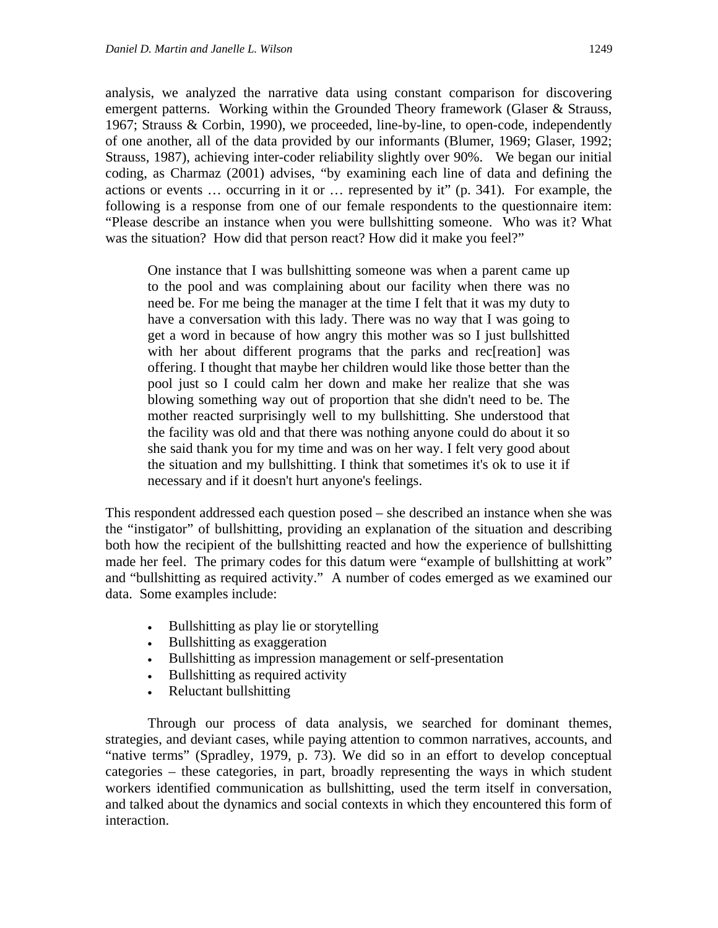analysis, we analyzed the narrative data using constant comparison for discovering emergent patterns. Working within the Grounded Theory framework (Glaser & Strauss, 1967; Strauss & Corbin, 1990), we proceeded, line-by-line, to open-code, independently of one another, all of the data provided by our informants (Blumer, 1969; Glaser, 1992; Strauss, 1987), achieving inter-coder reliability slightly over 90%. We began our initial coding, as Charmaz (2001) advises, "by examining each line of data and defining the actions or events … occurring in it or … represented by it" (p. 341). For example, the following is a response from one of our female respondents to the questionnaire item: "Please describe an instance when you were bullshitting someone. Who was it? What was the situation? How did that person react? How did it make you feel?"

One instance that I was bullshitting someone was when a parent came up to the pool and was complaining about our facility when there was no need be. For me being the manager at the time I felt that it was my duty to have a conversation with this lady. There was no way that I was going to get a word in because of how angry this mother was so I just bullshitted with her about different programs that the parks and rec[reation] was offering. I thought that maybe her children would like those better than the pool just so I could calm her down and make her realize that she was blowing something way out of proportion that she didn't need to be. The mother reacted surprisingly well to my bullshitting. She understood that the facility was old and that there was nothing anyone could do about it so she said thank you for my time and was on her way. I felt very good about the situation and my bullshitting. I think that sometimes it's ok to use it if necessary and if it doesn't hurt anyone's feelings.

This respondent addressed each question posed – she described an instance when she was the "instigator" of bullshitting, providing an explanation of the situation and describing both how the recipient of the bullshitting reacted and how the experience of bullshitting made her feel. The primary codes for this datum were "example of bullshitting at work" and "bullshitting as required activity." A number of codes emerged as we examined our data. Some examples include:

- Bullshitting as play lie or storytelling
- Bullshitting as exaggeration
- Bullshitting as impression management or self-presentation
- Bullshitting as required activity
- Reluctant bullshitting

Through our process of data analysis, we searched for dominant themes, strategies, and deviant cases, while paying attention to common narratives, accounts, and "native terms" (Spradley, 1979, p. 73). We did so in an effort to develop conceptual categories – these categories, in part, broadly representing the ways in which student workers identified communication as bullshitting, used the term itself in conversation, and talked about the dynamics and social contexts in which they encountered this form of interaction.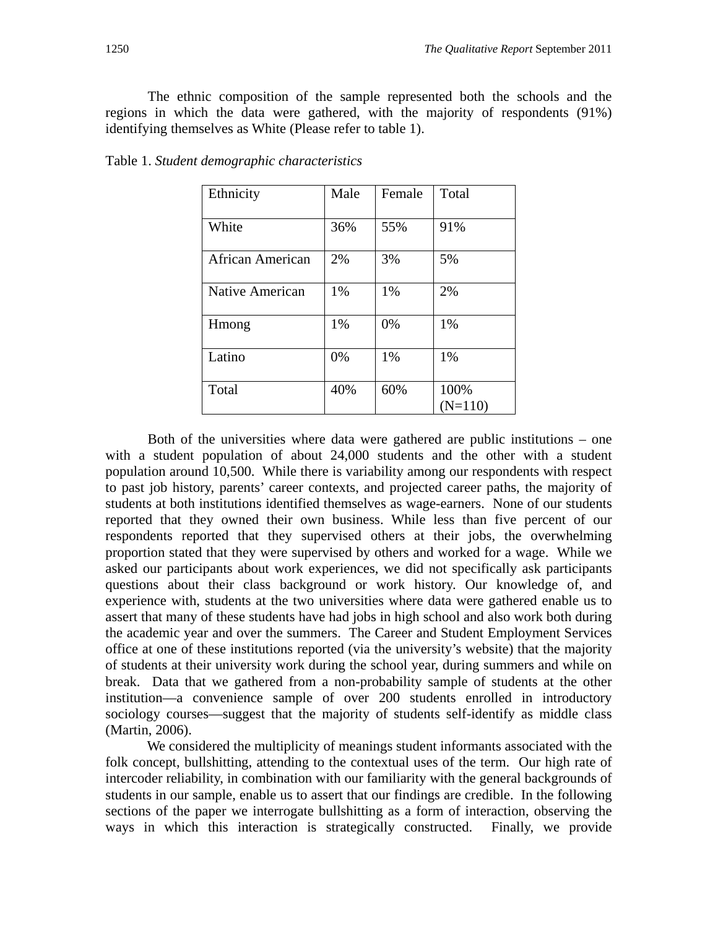The ethnic composition of the sample represented both the schools and the regions in which the data were gathered, with the majority of respondents (91%) identifying themselves as White (Please refer to table 1).

| Ethnicity        | Male | Female | Total             |
|------------------|------|--------|-------------------|
| White            | 36%  | 55%    | 91%               |
| African American | 2%   | 3%     | 5%                |
| Native American  | 1%   | 1%     | 2%                |
| Hmong            | 1%   | 0%     | 1%                |
| Latino           | 0%   | 1%     | 1%                |
| Total            | 40%  | 60%    | 100%<br>$(N=110)$ |

Table 1. *Student demographic characteristics*

 Both of the universities where data were gathered are public institutions – one with a student population of about 24,000 students and the other with a student population around 10,500. While there is variability among our respondents with respect to past job history, parents' career contexts, and projected career paths, the majority of students at both institutions identified themselves as wage-earners. None of our students reported that they owned their own business. While less than five percent of our respondents reported that they supervised others at their jobs, the overwhelming proportion stated that they were supervised by others and worked for a wage. While we asked our participants about work experiences, we did not specifically ask participants questions about their class background or work history. Our knowledge of, and experience with, students at the two universities where data were gathered enable us to assert that many of these students have had jobs in high school and also work both during the academic year and over the summers. The Career and Student Employment Services office at one of these institutions reported (via the university's website) that the majority of students at their university work during the school year, during summers and while on break. Data that we gathered from a non-probability sample of students at the other institution—a convenience sample of over 200 students enrolled in introductory sociology courses—suggest that the majority of students self-identify as middle class (Martin, 2006).

We considered the multiplicity of meanings student informants associated with the folk concept, bullshitting, attending to the contextual uses of the term. Our high rate of intercoder reliability, in combination with our familiarity with the general backgrounds of students in our sample, enable us to assert that our findings are credible. In the following sections of the paper we interrogate bullshitting as a form of interaction, observing the ways in which this interaction is strategically constructed. Finally, we provide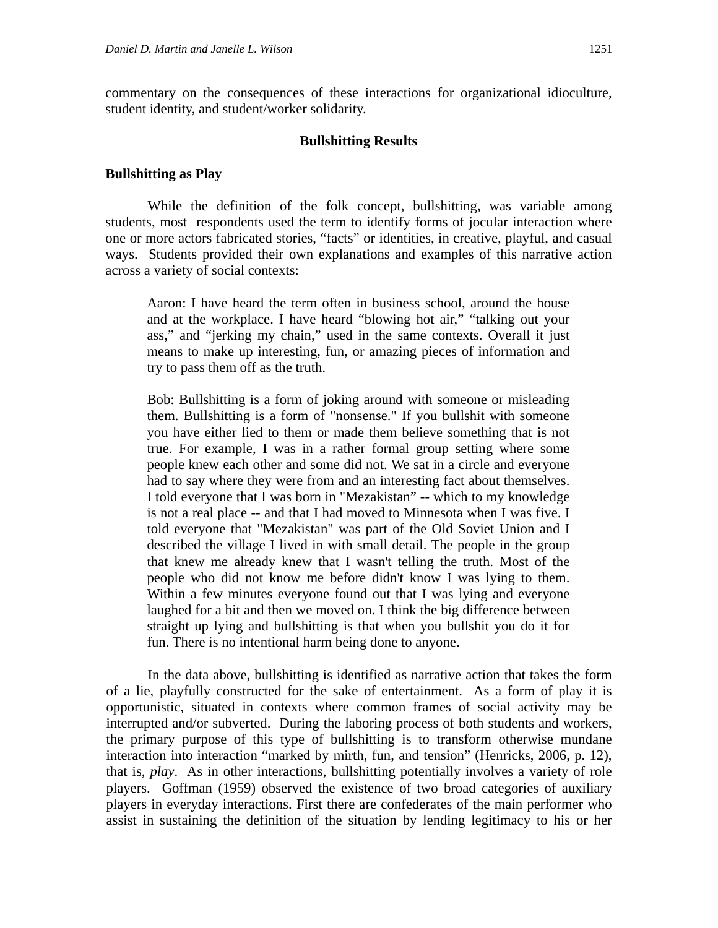commentary on the consequences of these interactions for organizational idioculture, student identity, and student/worker solidarity.

#### **Bullshitting Results**

#### **Bullshitting as Play**

While the definition of the folk concept, bullshitting, was variable among students, most respondents used the term to identify forms of jocular interaction where one or more actors fabricated stories, "facts" or identities, in creative, playful, and casual ways. Students provided their own explanations and examples of this narrative action across a variety of social contexts:

Aaron: I have heard the term often in business school, around the house and at the workplace. I have heard "blowing hot air," "talking out your ass," and "jerking my chain," used in the same contexts. Overall it just means to make up interesting, fun, or amazing pieces of information and try to pass them off as the truth.

Bob: Bullshitting is a form of joking around with someone or misleading them. Bullshitting is a form of "nonsense." If you bullshit with someone you have either lied to them or made them believe something that is not true. For example, I was in a rather formal group setting where some people knew each other and some did not. We sat in a circle and everyone had to say where they were from and an interesting fact about themselves. I told everyone that I was born in "Mezakistan" -- which to my knowledge is not a real place -- and that I had moved to Minnesota when I was five. I told everyone that "Mezakistan" was part of the Old Soviet Union and I described the village I lived in with small detail. The people in the group that knew me already knew that I wasn't telling the truth. Most of the people who did not know me before didn't know I was lying to them. Within a few minutes everyone found out that I was lying and everyone laughed for a bit and then we moved on. I think the big difference between straight up lying and bullshitting is that when you bullshit you do it for fun. There is no intentional harm being done to anyone.

 In the data above, bullshitting is identified as narrative action that takes the form of a lie, playfully constructed for the sake of entertainment. As a form of play it is opportunistic, situated in contexts where common frames of social activity may be interrupted and/or subverted. During the laboring process of both students and workers, the primary purpose of this type of bullshitting is to transform otherwise mundane interaction into interaction "marked by mirth, fun, and tension" (Henricks, 2006, p. 12), that is, *play*. As in other interactions, bullshitting potentially involves a variety of role players. Goffman (1959) observed the existence of two broad categories of auxiliary players in everyday interactions. First there are confederates of the main performer who assist in sustaining the definition of the situation by lending legitimacy to his or her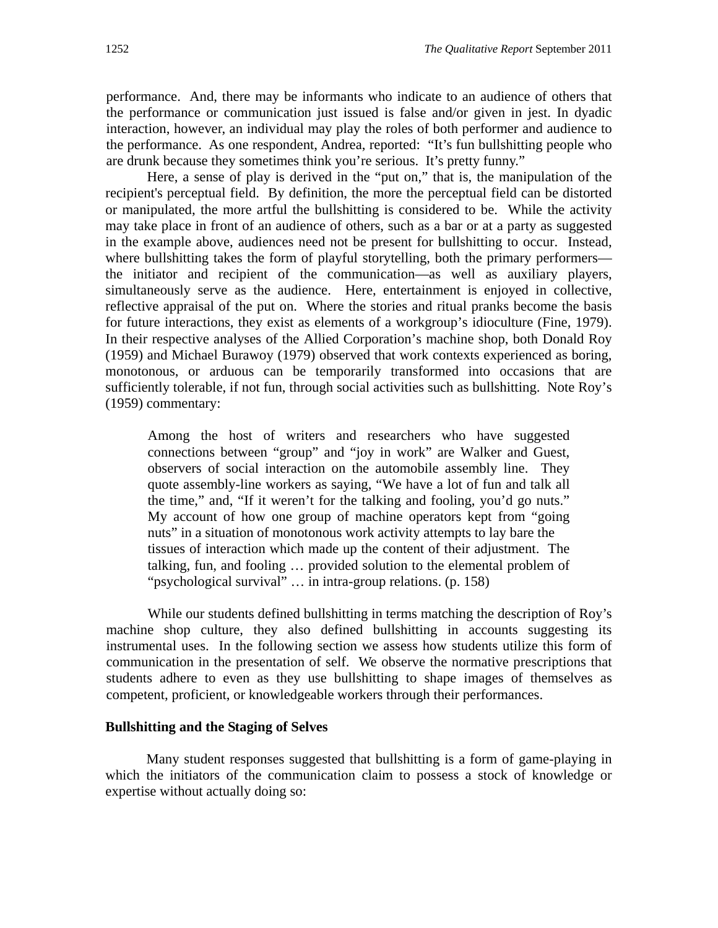performance. And, there may be informants who indicate to an audience of others that the performance or communication just issued is false and/or given in jest. In dyadic interaction, however, an individual may play the roles of both performer and audience to the performance. As one respondent, Andrea, reported: "It's fun bullshitting people who are drunk because they sometimes think you're serious. It's pretty funny."

Here, a sense of play is derived in the "put on," that is, the manipulation of the recipient's perceptual field. By definition, the more the perceptual field can be distorted or manipulated, the more artful the bullshitting is considered to be. While the activity may take place in front of an audience of others, such as a bar or at a party as suggested in the example above, audiences need not be present for bullshitting to occur. Instead, where bullshitting takes the form of playful storytelling, both the primary performers the initiator and recipient of the communication—as well as auxiliary players, simultaneously serve as the audience. Here, entertainment is enjoyed in collective, reflective appraisal of the put on. Where the stories and ritual pranks become the basis for future interactions, they exist as elements of a workgroup's idioculture (Fine, 1979). In their respective analyses of the Allied Corporation's machine shop, both Donald Roy (1959) and Michael Burawoy (1979) observed that work contexts experienced as boring, monotonous, or arduous can be temporarily transformed into occasions that are sufficiently tolerable, if not fun, through social activities such as bullshitting. Note Roy's (1959) commentary:

Among the host of writers and researchers who have suggested connections between "group" and "joy in work" are Walker and Guest, observers of social interaction on the automobile assembly line. They quote assembly-line workers as saying, "We have a lot of fun and talk all the time," and, "If it weren't for the talking and fooling, you'd go nuts." My account of how one group of machine operators kept from "going nuts" in a situation of monotonous work activity attempts to lay bare the tissues of interaction which made up the content of their adjustment. The talking, fun, and fooling … provided solution to the elemental problem of "psychological survival" … in intra-group relations. (p. 158)

 While our students defined bullshitting in terms matching the description of Roy's machine shop culture, they also defined bullshitting in accounts suggesting its instrumental uses. In the following section we assess how students utilize this form of communication in the presentation of self. We observe the normative prescriptions that students adhere to even as they use bullshitting to shape images of themselves as competent, proficient, or knowledgeable workers through their performances.

#### **Bullshitting and the Staging of Selves**

Many student responses suggested that bullshitting is a form of game-playing in which the initiators of the communication claim to possess a stock of knowledge or expertise without actually doing so: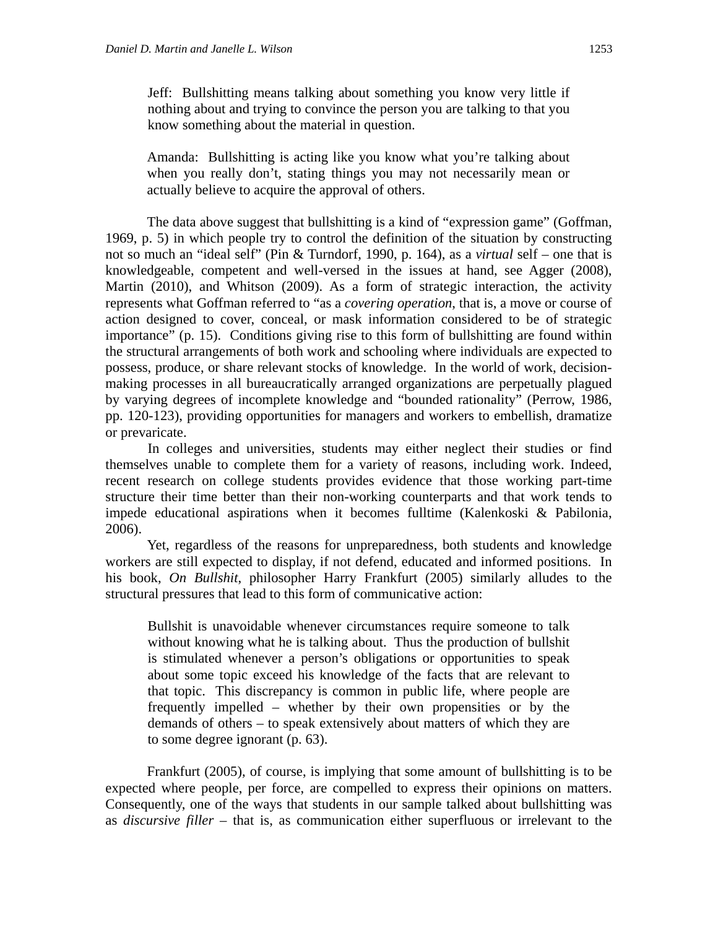Jeff: Bullshitting means talking about something you know very little if nothing about and trying to convince the person you are talking to that you know something about the material in question.

Amanda: Bullshitting is acting like you know what you're talking about when you really don't, stating things you may not necessarily mean or actually believe to acquire the approval of others.

The data above suggest that bullshitting is a kind of "expression game" (Goffman, 1969, p. 5) in which people try to control the definition of the situation by constructing not so much an "ideal self" (Pin & Turndorf, 1990, p. 164), as a *virtual* self – one that is knowledgeable, competent and well-versed in the issues at hand, see Agger (2008), Martin (2010), and Whitson (2009). As a form of strategic interaction, the activity represents what Goffman referred to "as a *covering operation*, that is, a move or course of action designed to cover, conceal, or mask information considered to be of strategic importance" (p. 15). Conditions giving rise to this form of bullshitting are found within the structural arrangements of both work and schooling where individuals are expected to possess, produce, or share relevant stocks of knowledge. In the world of work, decisionmaking processes in all bureaucratically arranged organizations are perpetually plagued by varying degrees of incomplete knowledge and "bounded rationality" (Perrow, 1986, pp. 120-123), providing opportunities for managers and workers to embellish, dramatize or prevaricate.

 In colleges and universities, students may either neglect their studies or find themselves unable to complete them for a variety of reasons, including work. Indeed, recent research on college students provides evidence that those working part-time structure their time better than their non-working counterparts and that work tends to impede educational aspirations when it becomes fulltime (Kalenkoski & Pabilonia, 2006).

Yet, regardless of the reasons for unpreparedness, both students and knowledge workers are still expected to display, if not defend, educated and informed positions. In his book, *On Bullshit*, philosopher Harry Frankfurt (2005) similarly alludes to the structural pressures that lead to this form of communicative action:

Bullshit is unavoidable whenever circumstances require someone to talk without knowing what he is talking about. Thus the production of bullshit is stimulated whenever a person's obligations or opportunities to speak about some topic exceed his knowledge of the facts that are relevant to that topic. This discrepancy is common in public life, where people are frequently impelled – whether by their own propensities or by the demands of others – to speak extensively about matters of which they are to some degree ignorant (p. 63).

Frankfurt (2005), of course, is implying that some amount of bullshitting is to be expected where people, per force, are compelled to express their opinions on matters. Consequently, one of the ways that students in our sample talked about bullshitting was as *discursive filler* – that is, as communication either superfluous or irrelevant to the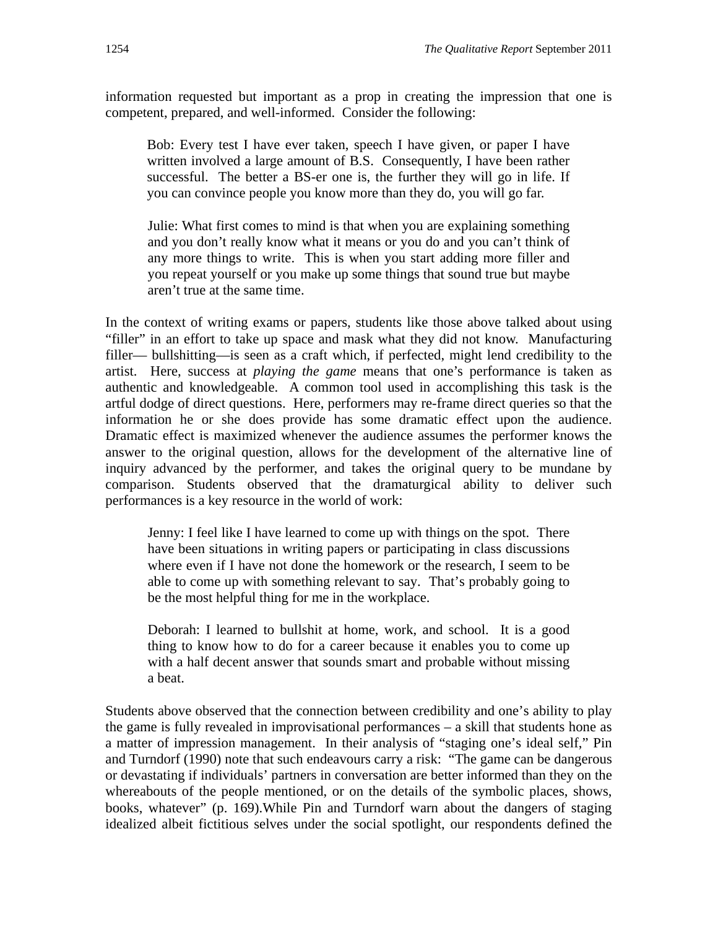information requested but important as a prop in creating the impression that one is competent, prepared, and well-informed. Consider the following:

Bob: Every test I have ever taken, speech I have given, or paper I have written involved a large amount of B.S. Consequently, I have been rather successful. The better a BS-er one is, the further they will go in life. If you can convince people you know more than they do, you will go far.

Julie: What first comes to mind is that when you are explaining something and you don't really know what it means or you do and you can't think of any more things to write. This is when you start adding more filler and you repeat yourself or you make up some things that sound true but maybe aren't true at the same time.

In the context of writing exams or papers, students like those above talked about using "filler" in an effort to take up space and mask what they did not know. Manufacturing filler— bullshitting—is seen as a craft which, if perfected, might lend credibility to the artist. Here, success at *playing the game* means that one's performance is taken as authentic and knowledgeable. A common tool used in accomplishing this task is the artful dodge of direct questions. Here, performers may re-frame direct queries so that the information he or she does provide has some dramatic effect upon the audience. Dramatic effect is maximized whenever the audience assumes the performer knows the answer to the original question, allows for the development of the alternative line of inquiry advanced by the performer, and takes the original query to be mundane by comparison. Students observed that the dramaturgical ability to deliver such performances is a key resource in the world of work:

Jenny: I feel like I have learned to come up with things on the spot. There have been situations in writing papers or participating in class discussions where even if I have not done the homework or the research, I seem to be able to come up with something relevant to say. That's probably going to be the most helpful thing for me in the workplace.

Deborah: I learned to bullshit at home, work, and school. It is a good thing to know how to do for a career because it enables you to come up with a half decent answer that sounds smart and probable without missing a beat.

Students above observed that the connection between credibility and one's ability to play the game is fully revealed in improvisational performances – a skill that students hone as a matter of impression management. In their analysis of "staging one's ideal self," Pin and Turndorf (1990) note that such endeavours carry a risk: "The game can be dangerous or devastating if individuals' partners in conversation are better informed than they on the whereabouts of the people mentioned, or on the details of the symbolic places, shows, books, whatever" (p. 169).While Pin and Turndorf warn about the dangers of staging idealized albeit fictitious selves under the social spotlight, our respondents defined the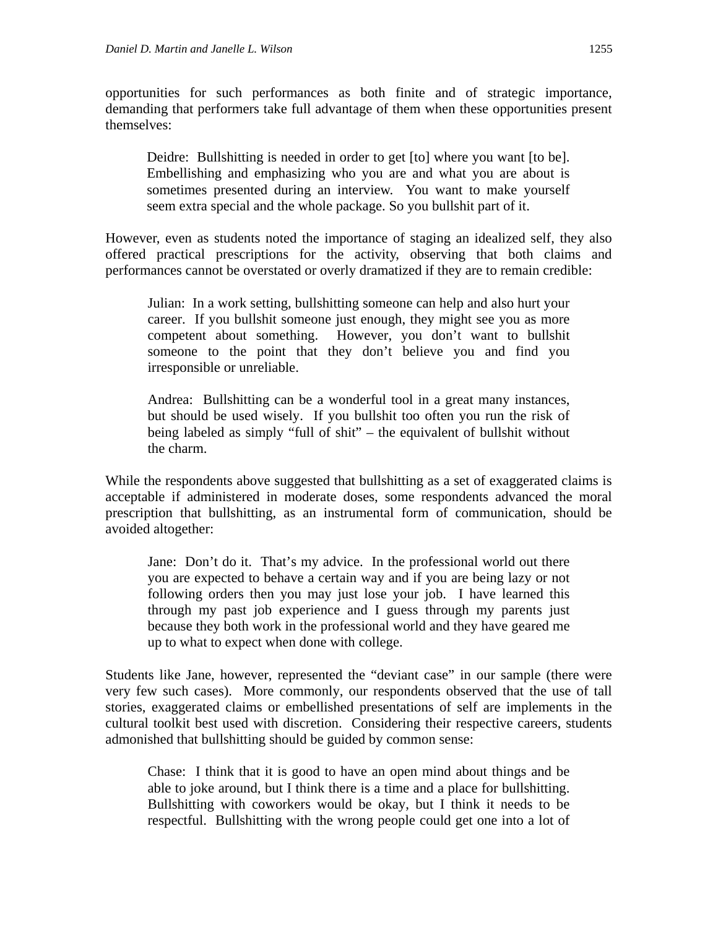opportunities for such performances as both finite and of strategic importance, demanding that performers take full advantage of them when these opportunities present themselves:

Deidre: Bullshitting is needed in order to get [to] where you want [to be]. Embellishing and emphasizing who you are and what you are about is sometimes presented during an interview. You want to make yourself seem extra special and the whole package. So you bullshit part of it.

However, even as students noted the importance of staging an idealized self, they also offered practical prescriptions for the activity, observing that both claims and performances cannot be overstated or overly dramatized if they are to remain credible:

Julian: In a work setting, bullshitting someone can help and also hurt your career. If you bullshit someone just enough, they might see you as more competent about something. However, you don't want to bullshit someone to the point that they don't believe you and find you irresponsible or unreliable.

Andrea: Bullshitting can be a wonderful tool in a great many instances, but should be used wisely. If you bullshit too often you run the risk of being labeled as simply "full of shit" – the equivalent of bullshit without the charm.

While the respondents above suggested that bullshitting as a set of exaggerated claims is acceptable if administered in moderate doses, some respondents advanced the moral prescription that bullshitting, as an instrumental form of communication, should be avoided altogether:

Jane: Don't do it. That's my advice. In the professional world out there you are expected to behave a certain way and if you are being lazy or not following orders then you may just lose your job. I have learned this through my past job experience and I guess through my parents just because they both work in the professional world and they have geared me up to what to expect when done with college.

Students like Jane, however, represented the "deviant case" in our sample (there were very few such cases). More commonly, our respondents observed that the use of tall stories, exaggerated claims or embellished presentations of self are implements in the cultural toolkit best used with discretion. Considering their respective careers, students admonished that bullshitting should be guided by common sense:

Chase: I think that it is good to have an open mind about things and be able to joke around, but I think there is a time and a place for bullshitting. Bullshitting with coworkers would be okay, but I think it needs to be respectful. Bullshitting with the wrong people could get one into a lot of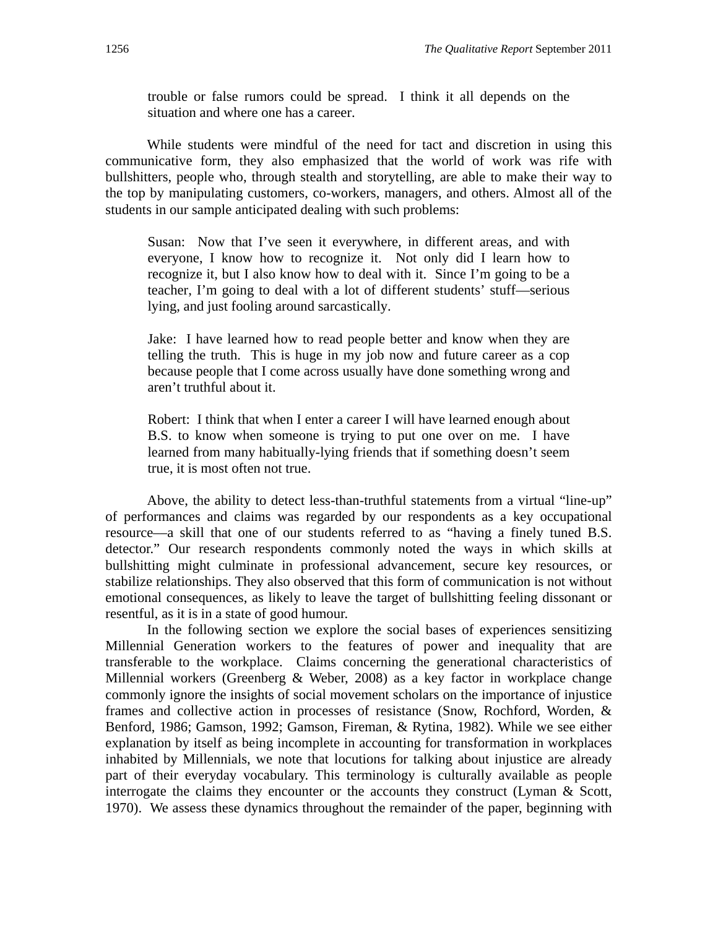trouble or false rumors could be spread. I think it all depends on the situation and where one has a career.

While students were mindful of the need for tact and discretion in using this communicative form, they also emphasized that the world of work was rife with bullshitters, people who, through stealth and storytelling, are able to make their way to the top by manipulating customers, co-workers, managers, and others. Almost all of the students in our sample anticipated dealing with such problems:

Susan: Now that I've seen it everywhere, in different areas, and with everyone, I know how to recognize it. Not only did I learn how to recognize it, but I also know how to deal with it. Since I'm going to be a teacher, I'm going to deal with a lot of different students' stuff—serious lying, and just fooling around sarcastically.

Jake: I have learned how to read people better and know when they are telling the truth. This is huge in my job now and future career as a cop because people that I come across usually have done something wrong and aren't truthful about it.

Robert: I think that when I enter a career I will have learned enough about B.S. to know when someone is trying to put one over on me. I have learned from many habitually-lying friends that if something doesn't seem true, it is most often not true.

Above, the ability to detect less-than-truthful statements from a virtual "line-up" of performances and claims was regarded by our respondents as a key occupational resource––a skill that one of our students referred to as "having a finely tuned B.S. detector." Our research respondents commonly noted the ways in which skills at bullshitting might culminate in professional advancement, secure key resources, or stabilize relationships. They also observed that this form of communication is not without emotional consequences, as likely to leave the target of bullshitting feeling dissonant or resentful, as it is in a state of good humour.

In the following section we explore the social bases of experiences sensitizing Millennial Generation workers to the features of power and inequality that are transferable to the workplace. Claims concerning the generational characteristics of Millennial workers (Greenberg & Weber, 2008) as a key factor in workplace change commonly ignore the insights of social movement scholars on the importance of injustice frames and collective action in processes of resistance (Snow, Rochford, Worden, & Benford, 1986; Gamson, 1992; Gamson, Fireman, & Rytina, 1982). While we see either explanation by itself as being incomplete in accounting for transformation in workplaces inhabited by Millennials, we note that locutions for talking about injustice are already part of their everyday vocabulary. This terminology is culturally available as people interrogate the claims they encounter or the accounts they construct (Lyman & Scott, 1970). We assess these dynamics throughout the remainder of the paper, beginning with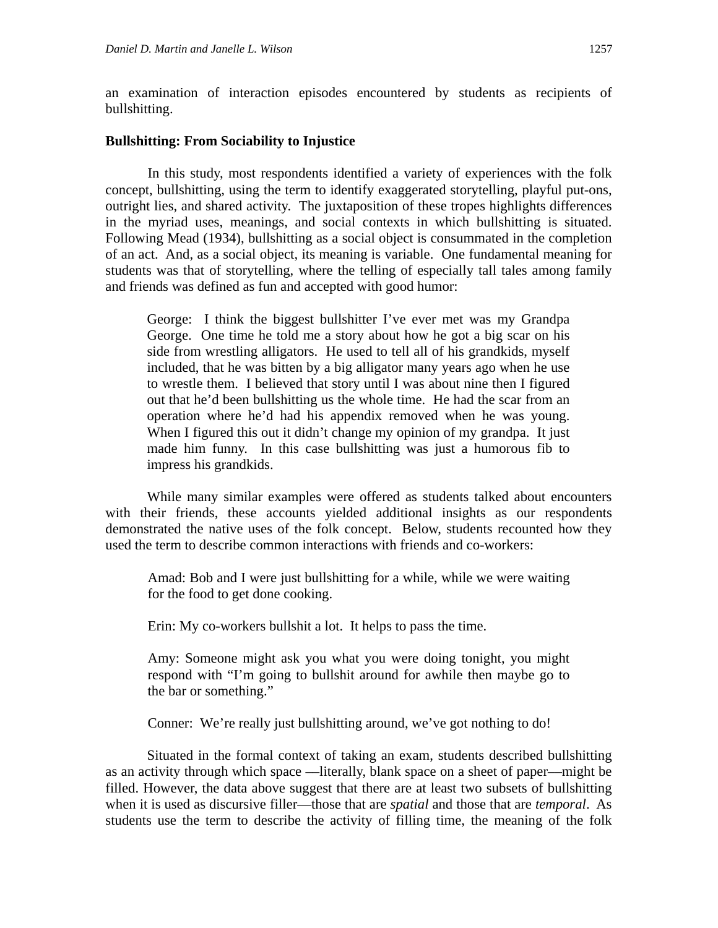an examination of interaction episodes encountered by students as recipients of bullshitting.

#### **Bullshitting: From Sociability to Injustice**

 In this study, most respondents identified a variety of experiences with the folk concept, bullshitting, using the term to identify exaggerated storytelling, playful put-ons, outright lies, and shared activity. The juxtaposition of these tropes highlights differences in the myriad uses, meanings, and social contexts in which bullshitting is situated. Following Mead (1934), bullshitting as a social object is consummated in the completion of an act. And, as a social object, its meaning is variable. One fundamental meaning for students was that of storytelling, where the telling of especially tall tales among family and friends was defined as fun and accepted with good humor:

George: I think the biggest bullshitter I've ever met was my Grandpa George. One time he told me a story about how he got a big scar on his side from wrestling alligators. He used to tell all of his grandkids, myself included, that he was bitten by a big alligator many years ago when he use to wrestle them. I believed that story until I was about nine then I figured out that he'd been bullshitting us the whole time. He had the scar from an operation where he'd had his appendix removed when he was young. When I figured this out it didn't change my opinion of my grandpa. It just made him funny. In this case bullshitting was just a humorous fib to impress his grandkids.

While many similar examples were offered as students talked about encounters with their friends, these accounts yielded additional insights as our respondents demonstrated the native uses of the folk concept. Below, students recounted how they used the term to describe common interactions with friends and co-workers:

Amad: Bob and I were just bullshitting for a while, while we were waiting for the food to get done cooking.

Erin: My co-workers bullshit a lot. It helps to pass the time.

Amy: Someone might ask you what you were doing tonight, you might respond with "I'm going to bullshit around for awhile then maybe go to the bar or something."

Conner: We're really just bullshitting around, we've got nothing to do!

Situated in the formal context of taking an exam, students described bullshitting as an activity through which space ––literally, blank space on a sheet of paper––might be filled. However, the data above suggest that there are at least two subsets of bullshitting when it is used as discursive filler—those that are *spatial* and those that are *temporal*. As students use the term to describe the activity of filling time, the meaning of the folk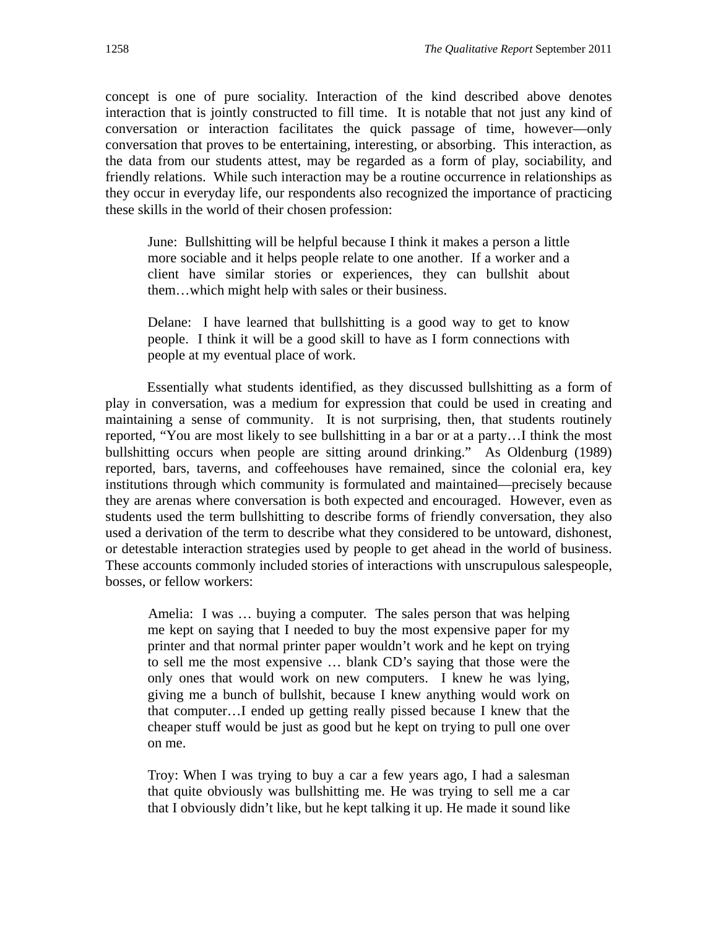concept is one of pure sociality. Interaction of the kind described above denotes interaction that is jointly constructed to fill time. It is notable that not just any kind of conversation or interaction facilitates the quick passage of time, however––only conversation that proves to be entertaining, interesting, or absorbing. This interaction, as the data from our students attest, may be regarded as a form of play, sociability, and friendly relations. While such interaction may be a routine occurrence in relationships as they occur in everyday life, our respondents also recognized the importance of practicing these skills in the world of their chosen profession:

June: Bullshitting will be helpful because I think it makes a person a little more sociable and it helps people relate to one another. If a worker and a client have similar stories or experiences, they can bullshit about them…which might help with sales or their business.

Delane: I have learned that bullshitting is a good way to get to know people. I think it will be a good skill to have as I form connections with people at my eventual place of work.

Essentially what students identified, as they discussed bullshitting as a form of play in conversation, was a medium for expression that could be used in creating and maintaining a sense of community. It is not surprising, then, that students routinely reported, "You are most likely to see bullshitting in a bar or at a party…I think the most bullshitting occurs when people are sitting around drinking." As Oldenburg (1989) reported, bars, taverns, and coffeehouses have remained, since the colonial era, key institutions through which community is formulated and maintained––precisely because they are arenas where conversation is both expected and encouraged. However, even as students used the term bullshitting to describe forms of friendly conversation, they also used a derivation of the term to describe what they considered to be untoward, dishonest, or detestable interaction strategies used by people to get ahead in the world of business. These accounts commonly included stories of interactions with unscrupulous salespeople, bosses, or fellow workers:

Amelia: I was … buying a computer. The sales person that was helping me kept on saying that I needed to buy the most expensive paper for my printer and that normal printer paper wouldn't work and he kept on trying to sell me the most expensive … blank CD's saying that those were the only ones that would work on new computers. I knew he was lying, giving me a bunch of bullshit, because I knew anything would work on that computer…I ended up getting really pissed because I knew that the cheaper stuff would be just as good but he kept on trying to pull one over on me.

Troy: When I was trying to buy a car a few years ago, I had a salesman that quite obviously was bullshitting me. He was trying to sell me a car that I obviously didn't like, but he kept talking it up. He made it sound like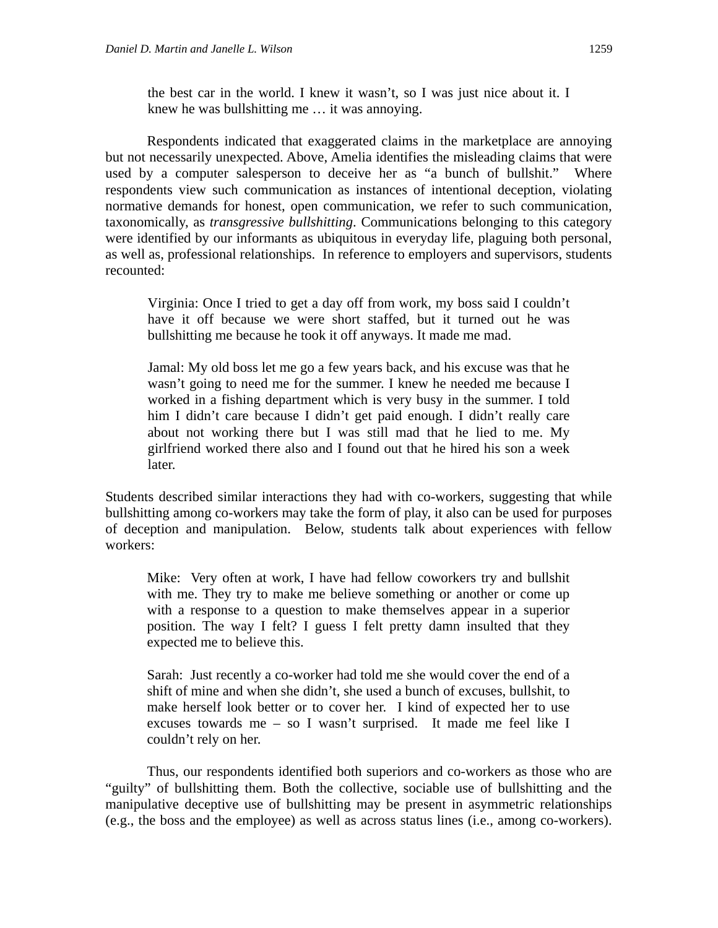the best car in the world. I knew it wasn't, so I was just nice about it. I knew he was bullshitting me … it was annoying.

Respondents indicated that exaggerated claims in the marketplace are annoying but not necessarily unexpected. Above, Amelia identifies the misleading claims that were used by a computer salesperson to deceive her as "a bunch of bullshit." Where respondents view such communication as instances of intentional deception, violating normative demands for honest, open communication, we refer to such communication, taxonomically, as *transgressive bullshitting*. Communications belonging to this category were identified by our informants as ubiquitous in everyday life, plaguing both personal, as well as, professional relationships. In reference to employers and supervisors, students recounted:

Virginia: Once I tried to get a day off from work, my boss said I couldn't have it off because we were short staffed, but it turned out he was bullshitting me because he took it off anyways. It made me mad.

Jamal: My old boss let me go a few years back, and his excuse was that he wasn't going to need me for the summer. I knew he needed me because I worked in a fishing department which is very busy in the summer. I told him I didn't care because I didn't get paid enough. I didn't really care about not working there but I was still mad that he lied to me. My girlfriend worked there also and I found out that he hired his son a week later.

Students described similar interactions they had with co-workers, suggesting that while bullshitting among co-workers may take the form of play, it also can be used for purposes of deception and manipulation. Below, students talk about experiences with fellow workers:

Mike: Very often at work, I have had fellow coworkers try and bullshit with me. They try to make me believe something or another or come up with a response to a question to make themselves appear in a superior position. The way I felt? I guess I felt pretty damn insulted that they expected me to believe this.

Sarah: Just recently a co-worker had told me she would cover the end of a shift of mine and when she didn't, she used a bunch of excuses, bullshit, to make herself look better or to cover her. I kind of expected her to use excuses towards me – so I wasn't surprised. It made me feel like I couldn't rely on her.

Thus, our respondents identified both superiors and co-workers as those who are "guilty" of bullshitting them. Both the collective, sociable use of bullshitting and the manipulative deceptive use of bullshitting may be present in asymmetric relationships (e.g., the boss and the employee) as well as across status lines (i.e., among co-workers).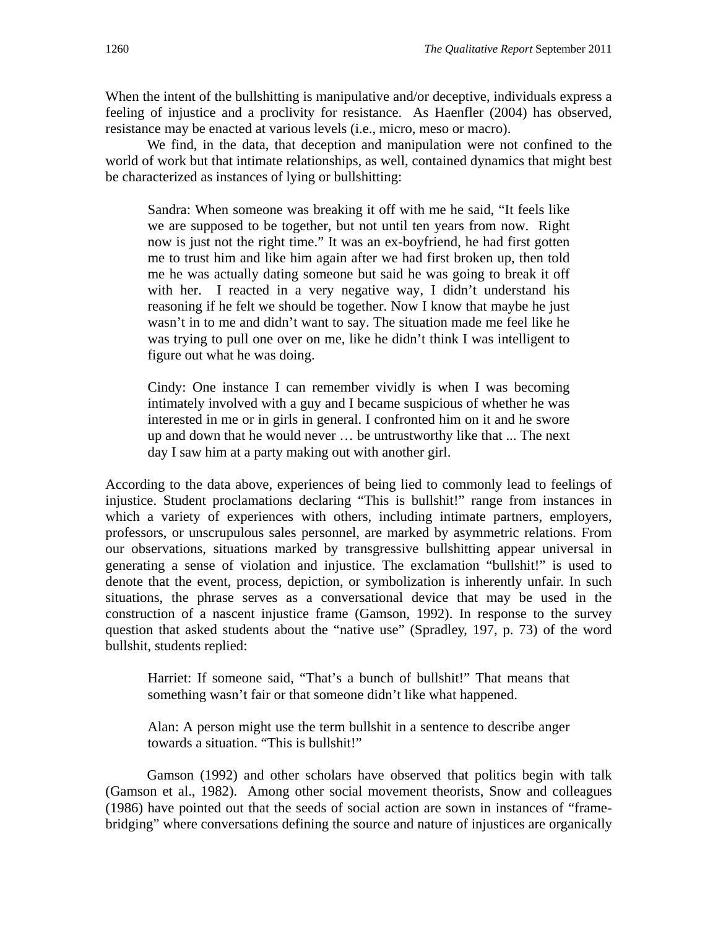When the intent of the bullshitting is manipulative and/or deceptive, individuals express a feeling of injustice and a proclivity for resistance. As Haenfler (2004) has observed, resistance may be enacted at various levels (i.e., micro, meso or macro).

We find, in the data, that deception and manipulation were not confined to the world of work but that intimate relationships, as well, contained dynamics that might best be characterized as instances of lying or bullshitting:

Sandra: When someone was breaking it off with me he said, "It feels like we are supposed to be together, but not until ten years from now. Right now is just not the right time." It was an ex-boyfriend, he had first gotten me to trust him and like him again after we had first broken up, then told me he was actually dating someone but said he was going to break it off with her. I reacted in a very negative way, I didn't understand his reasoning if he felt we should be together. Now I know that maybe he just wasn't in to me and didn't want to say. The situation made me feel like he was trying to pull one over on me, like he didn't think I was intelligent to figure out what he was doing.

Cindy: One instance I can remember vividly is when I was becoming intimately involved with a guy and I became suspicious of whether he was interested in me or in girls in general. I confronted him on it and he swore up and down that he would never … be untrustworthy like that ... The next day I saw him at a party making out with another girl.

According to the data above, experiences of being lied to commonly lead to feelings of injustice. Student proclamations declaring "This is bullshit!" range from instances in which a variety of experiences with others, including intimate partners, employers, professors, or unscrupulous sales personnel, are marked by asymmetric relations. From our observations, situations marked by transgressive bullshitting appear universal in generating a sense of violation and injustice. The exclamation "bullshit!" is used to denote that the event, process, depiction, or symbolization is inherently unfair. In such situations, the phrase serves as a conversational device that may be used in the construction of a nascent injustice frame (Gamson, 1992). In response to the survey question that asked students about the "native use" (Spradley, 197, p. 73) of the word bullshit, students replied:

Harriet: If someone said, "That's a bunch of bullshit!" That means that something wasn't fair or that someone didn't like what happened.

Alan: A person might use the term bullshit in a sentence to describe anger towards a situation. "This is bullshit!"

Gamson (1992) and other scholars have observed that politics begin with talk (Gamson et al., 1982). Among other social movement theorists, Snow and colleagues (1986) have pointed out that the seeds of social action are sown in instances of "framebridging" where conversations defining the source and nature of injustices are organically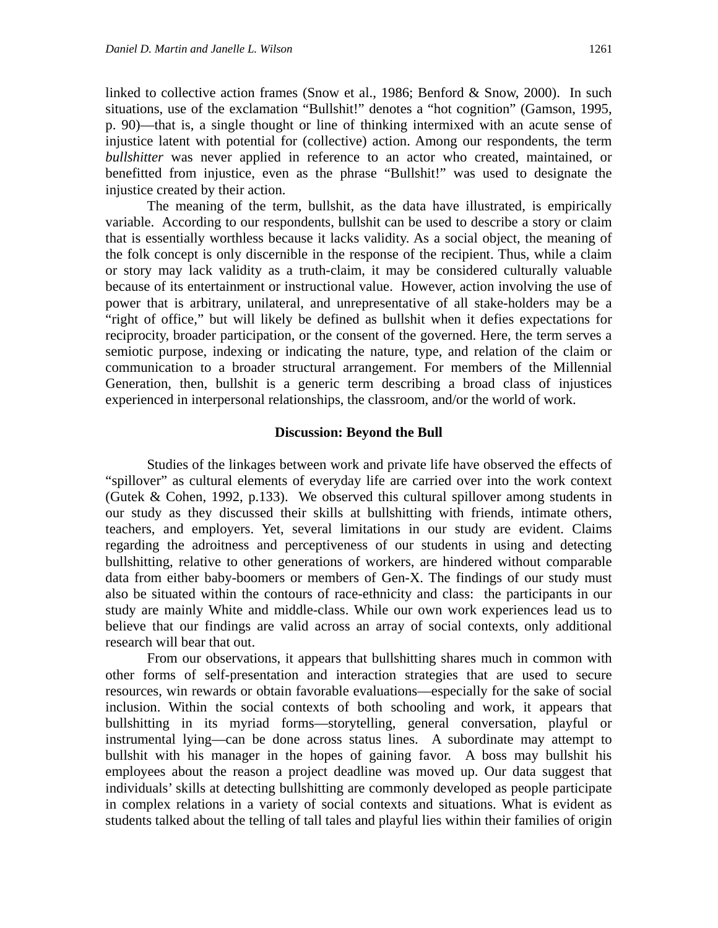linked to collective action frames (Snow et al., 1986; Benford & Snow, 2000). In such situations, use of the exclamation "Bullshit!" denotes a "hot cognition" (Gamson, 1995, p. 90)––that is, a single thought or line of thinking intermixed with an acute sense of injustice latent with potential for (collective) action. Among our respondents, the term *bullshitter* was never applied in reference to an actor who created, maintained, or benefitted from injustice, even as the phrase "Bullshit!" was used to designate the injustice created by their action.

The meaning of the term, bullshit, as the data have illustrated, is empirically variable. According to our respondents, bullshit can be used to describe a story or claim that is essentially worthless because it lacks validity. As a social object, the meaning of the folk concept is only discernible in the response of the recipient. Thus, while a claim or story may lack validity as a truth-claim, it may be considered culturally valuable because of its entertainment or instructional value. However, action involving the use of power that is arbitrary, unilateral, and unrepresentative of all stake-holders may be a "right of office," but will likely be defined as bullshit when it defies expectations for reciprocity, broader participation, or the consent of the governed. Here, the term serves a semiotic purpose, indexing or indicating the nature, type, and relation of the claim or communication to a broader structural arrangement. For members of the Millennial Generation, then, bullshit is a generic term describing a broad class of injustices experienced in interpersonal relationships, the classroom, and/or the world of work.

#### **Discussion: Beyond the Bull**

Studies of the linkages between work and private life have observed the effects of "spillover" as cultural elements of everyday life are carried over into the work context (Gutek & Cohen, 1992, p.133). We observed this cultural spillover among students in our study as they discussed their skills at bullshitting with friends, intimate others, teachers, and employers. Yet, several limitations in our study are evident. Claims regarding the adroitness and perceptiveness of our students in using and detecting bullshitting, relative to other generations of workers, are hindered without comparable data from either baby-boomers or members of Gen-X. The findings of our study must also be situated within the contours of race-ethnicity and class: the participants in our study are mainly White and middle-class. While our own work experiences lead us to believe that our findings are valid across an array of social contexts, only additional research will bear that out.

From our observations, it appears that bullshitting shares much in common with other forms of self-presentation and interaction strategies that are used to secure resources, win rewards or obtain favorable evaluations––especially for the sake of social inclusion. Within the social contexts of both schooling and work, it appears that bullshitting in its myriad forms––storytelling, general conversation, playful or instrumental lying––can be done across status lines. A subordinate may attempt to bullshit with his manager in the hopes of gaining favor. A boss may bullshit his employees about the reason a project deadline was moved up. Our data suggest that individuals' skills at detecting bullshitting are commonly developed as people participate in complex relations in a variety of social contexts and situations. What is evident as students talked about the telling of tall tales and playful lies within their families of origin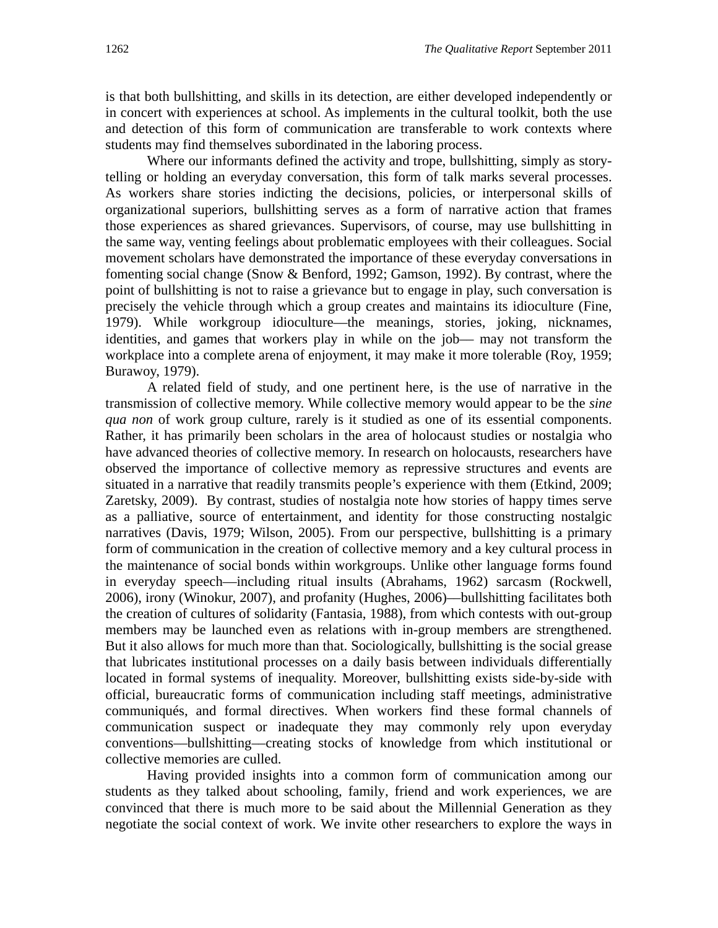is that both bullshitting, and skills in its detection, are either developed independently or in concert with experiences at school. As implements in the cultural toolkit, both the use and detection of this form of communication are transferable to work contexts where students may find themselves subordinated in the laboring process.

Where our informants defined the activity and trope, bullshitting, simply as storytelling or holding an everyday conversation, this form of talk marks several processes. As workers share stories indicting the decisions, policies, or interpersonal skills of organizational superiors, bullshitting serves as a form of narrative action that frames those experiences as shared grievances. Supervisors, of course, may use bullshitting in the same way, venting feelings about problematic employees with their colleagues. Social movement scholars have demonstrated the importance of these everyday conversations in fomenting social change (Snow & Benford, 1992; Gamson, 1992). By contrast, where the point of bullshitting is not to raise a grievance but to engage in play, such conversation is precisely the vehicle through which a group creates and maintains its idioculture (Fine, 1979). While workgroup idioculture––the meanings, stories, joking, nicknames, identities, and games that workers play in while on the job— may not transform the workplace into a complete arena of enjoyment, it may make it more tolerable (Roy, 1959; Burawoy, 1979).

A related field of study, and one pertinent here, is the use of narrative in the transmission of collective memory. While collective memory would appear to be the *sine qua non* of work group culture, rarely is it studied as one of its essential components. Rather, it has primarily been scholars in the area of holocaust studies or nostalgia who have advanced theories of collective memory. In research on holocausts, researchers have observed the importance of collective memory as repressive structures and events are situated in a narrative that readily transmits people's experience with them (Etkind, 2009; Zaretsky, 2009). By contrast, studies of nostalgia note how stories of happy times serve as a palliative, source of entertainment, and identity for those constructing nostalgic narratives (Davis, 1979; Wilson, 2005). From our perspective, bullshitting is a primary form of communication in the creation of collective memory and a key cultural process in the maintenance of social bonds within workgroups. Unlike other language forms found in everyday speech––including ritual insults (Abrahams, 1962) sarcasm (Rockwell, 2006), irony (Winokur, 2007), and profanity (Hughes, 2006)––bullshitting facilitates both the creation of cultures of solidarity (Fantasia, 1988), from which contests with out-group members may be launched even as relations with in-group members are strengthened. But it also allows for much more than that. Sociologically, bullshitting is the social grease that lubricates institutional processes on a daily basis between individuals differentially located in formal systems of inequality. Moreover, bullshitting exists side-by-side with official, bureaucratic forms of communication including staff meetings, administrative communiqués, and formal directives. When workers find these formal channels of communication suspect or inadequate they may commonly rely upon everyday conventions––bullshitting––creating stocks of knowledge from which institutional or collective memories are culled.

Having provided insights into a common form of communication among our students as they talked about schooling, family, friend and work experiences, we are convinced that there is much more to be said about the Millennial Generation as they negotiate the social context of work. We invite other researchers to explore the ways in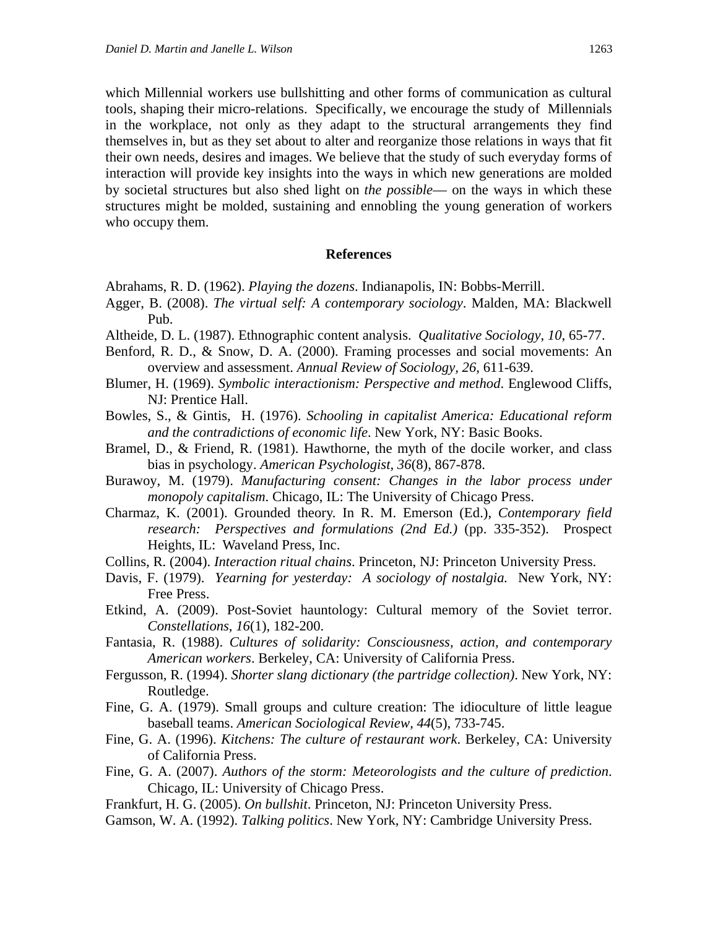which Millennial workers use bullshitting and other forms of communication as cultural tools, shaping their micro-relations. Specifically, we encourage the study of Millennials in the workplace, not only as they adapt to the structural arrangements they find themselves in, but as they set about to alter and reorganize those relations in ways that fit their own needs, desires and images. We believe that the study of such everyday forms of interaction will provide key insights into the ways in which new generations are molded by societal structures but also shed light on *the possible*–– on the ways in which these structures might be molded, sustaining and ennobling the young generation of workers who occupy them.

#### **References**

- Abrahams, R. D. (1962). *Playing the dozens*. Indianapolis, IN: Bobbs-Merrill.
- Agger, B. (2008). *The virtual self: A contemporary sociology*. Malden, MA: Blackwell Pub.
- Altheide, D. L. (1987). Ethnographic content analysis. *Qualitative Sociology*, *10*, 65-77.
- Benford, R. D., & Snow, D. A. (2000). Framing processes and social movements: An overview and assessment. *Annual Review of Sociology, 26*, 611-639.
- Blumer, H. (1969). *Symbolic interactionism: Perspective and method*. Englewood Cliffs, NJ: Prentice Hall.
- Bowles, S., & Gintis, H. (1976). *Schooling in capitalist America: Educational reform and the contradictions of economic life*. New York, NY: Basic Books.
- Bramel, D., & Friend, R. (1981). Hawthorne, the myth of the docile worker, and class bias in psychology. *American Psychologist, 36*(8), 867-878.
- Burawoy, M. (1979). *Manufacturing consent: Changes in the labor process under monopoly capitalism*. Chicago, IL: The University of Chicago Press.
- Charmaz, K. (2001). Grounded theory. In R. M. Emerson (Ed.), *Contemporary field research: Perspectives and formulations (2nd Ed.)* (pp. 335-352). Prospect Heights, IL: Waveland Press, Inc.
- Collins, R. (2004). *Interaction ritual chains*. Princeton, NJ: Princeton University Press.
- Davis, F. (1979). *Yearning for yesterday: A sociology of nostalgia.* New York, NY: Free Press.
- Etkind, A. (2009). Post-Soviet hauntology: Cultural memory of the Soviet terror. *Constellations*, *16*(1), 182-200.
- Fantasia, R. (1988). *Cultures of solidarity: Consciousness, action, and contemporary American workers*. Berkeley, CA: University of California Press.
- Fergusson, R. (1994). *Shorter slang dictionary (the partridge collection)*. New York, NY: Routledge.
- Fine, G. A. (1979). Small groups and culture creation: The idioculture of little league baseball teams. *American Sociological Review, 44*(5), 733-745.
- Fine, G. A. (1996). *Kitchens: The culture of restaurant work*. Berkeley, CA: University of California Press.
- Fine, G. A. (2007). *Authors of the storm: Meteorologists and the culture of prediction*. Chicago, IL: University of Chicago Press.
- Frankfurt, H. G. (2005). *On bullshit*. Princeton, NJ: Princeton University Press.
- Gamson, W. A. (1992). *Talking politics*. New York, NY: Cambridge University Press.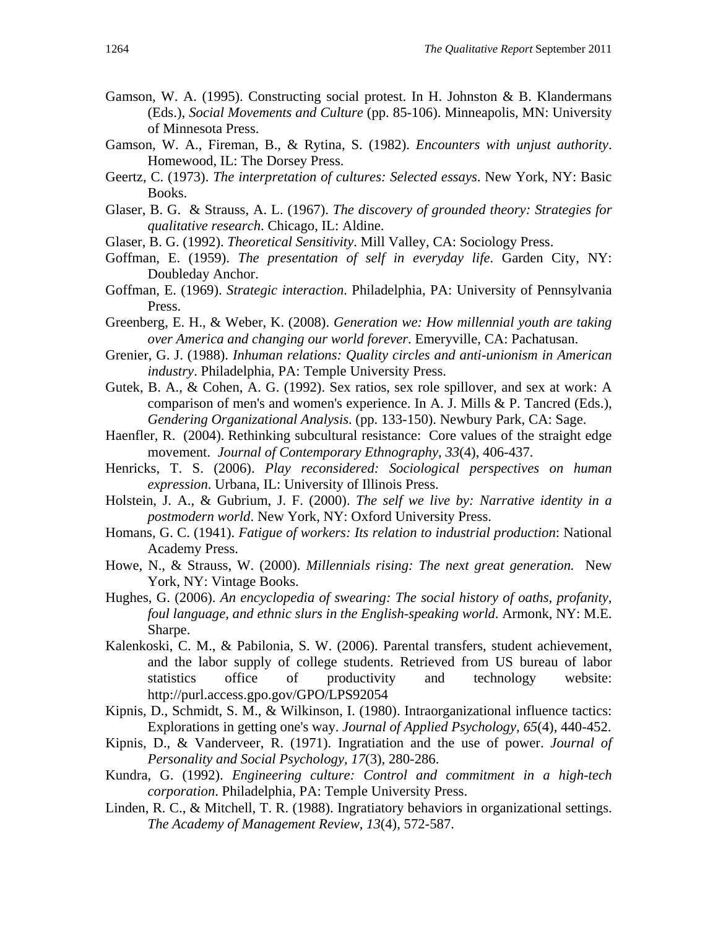- Gamson, W. A. (1995). Constructing social protest. In H. Johnston & B. Klandermans (Eds.), *Social Movements and Culture* (pp. 85-106). Minneapolis, MN: University of Minnesota Press.
- Gamson, W. A., Fireman, B., & Rytina, S. (1982). *Encounters with unjust authority*. Homewood, IL: The Dorsey Press.
- Geertz, C. (1973). *The interpretation of cultures: Selected essays*. New York, NY: Basic Books.
- Glaser, B. G. & Strauss, A. L. (1967). *The discovery of grounded theory: Strategies for qualitative research*. Chicago, IL: Aldine.
- Glaser, B. G. (1992). *Theoretical Sensitivity*. Mill Valley, CA: Sociology Press.
- Goffman, E. (1959). *The presentation of self in everyday life*. Garden City, NY: Doubleday Anchor.
- Goffman, E. (1969). *Strategic interaction*. Philadelphia, PA: University of Pennsylvania Press.
- Greenberg, E. H., & Weber, K. (2008). *Generation we: How millennial youth are taking over America and changing our world forever*. Emeryville, CA: Pachatusan.
- Grenier, G. J. (1988). *Inhuman relations: Quality circles and anti-unionism in American industry*. Philadelphia, PA: Temple University Press.
- Gutek, B. A., & Cohen, A. G. (1992). Sex ratios, sex role spillover, and sex at work: A comparison of men's and women's experience. In A. J. Mills & P. Tancred (Eds.), *Gendering Organizational Analysis*. (pp. 133-150). Newbury Park, CA: Sage.
- Haenfler, R. (2004). Rethinking subcultural resistance: Core values of the straight edge movement. *Journal of Contemporary Ethnography, 33*(4), 406-437.
- Henricks, T. S. (2006). *Play reconsidered: Sociological perspectives on human expression*. Urbana, IL: University of Illinois Press.
- Holstein, J. A., & Gubrium, J. F. (2000). *The self we live by: Narrative identity in a postmodern world*. New York, NY: Oxford University Press.
- Homans, G. C. (1941). *Fatigue of workers: Its relation to industrial production*: National Academy Press.
- Howe, N., & Strauss, W. (2000). *Millennials rising: The next great generation.* New York, NY: Vintage Books.
- Hughes, G. (2006). *An encyclopedia of swearing: The social history of oaths, profanity, foul language, and ethnic slurs in the English-speaking world*. Armonk, NY: M.E. Sharpe.
- Kalenkoski, C. M., & Pabilonia, S. W. (2006). Parental transfers, student achievement, and the labor supply of college students. Retrieved from US bureau of labor statistics office of productivity and technology website: http://purl.access.gpo.gov/GPO/LPS92054
- Kipnis, D., Schmidt, S. M., & Wilkinson, I. (1980). Intraorganizational influence tactics: Explorations in getting one's way. *Journal of Applied Psychology, 65*(4), 440-452.
- Kipnis, D., & Vanderveer, R. (1971). Ingratiation and the use of power. *Journal of Personality and Social Psychology, 17*(3), 280-286.
- Kundra, G. (1992). *Engineering culture: Control and commitment in a high-tech corporation*. Philadelphia, PA: Temple University Press.
- Linden, R. C., & Mitchell, T. R. (1988). Ingratiatory behaviors in organizational settings. *The Academy of Management Review, 13*(4), 572-587.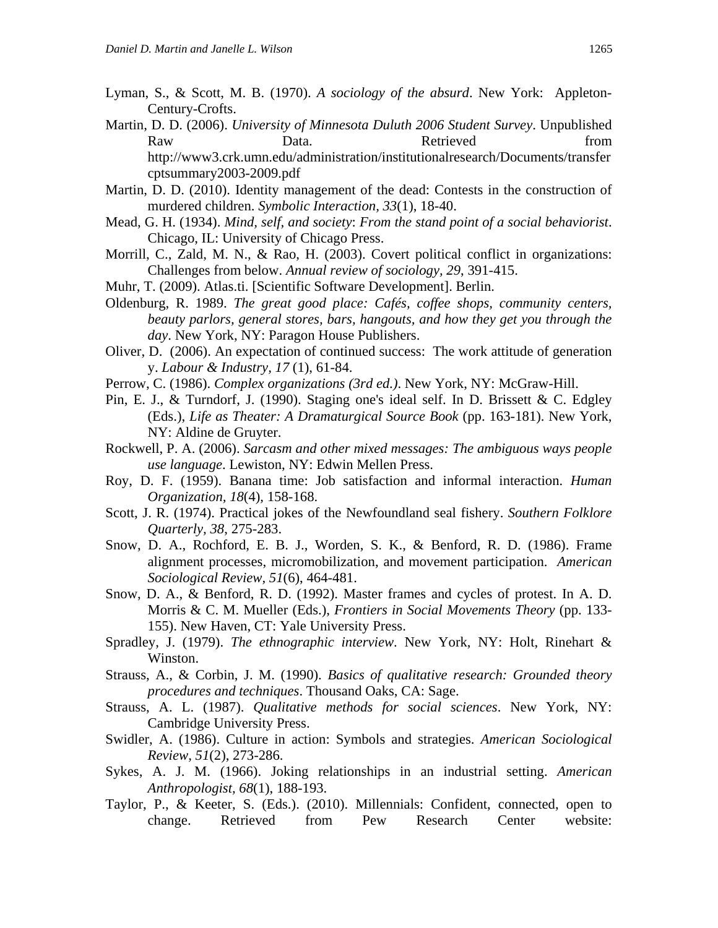- Lyman, S., & Scott, M. B. (1970). *A sociology of the absurd*. New York: Appleton-Century-Crofts.
- Martin, D. D. (2006). *University of Minnesota Duluth 2006 Student Survey*. Unpublished Raw Data. Data. Retrieved from http://www3.crk.umn.edu/administration/institutionalresearch/Documents/transfer cptsummary2003-2009.pdf
- Martin, D. D. (2010). Identity management of the dead: Contests in the construction of murdered children. *Symbolic Interaction, 33*(1), 18-40.
- Mead, G. H. (1934). *Mind, self, and society*: *From the stand point of a social behaviorist*. Chicago, IL: University of Chicago Press.
- Morrill, C., Zald, M. N., & Rao, H. (2003). Covert political conflict in organizations: Challenges from below. *Annual review of sociology, 29*, 391-415.
- Muhr, T. (2009). Atlas.ti. [Scientific Software Development]. Berlin.
- Oldenburg, R. 1989. *The great good place: Cafés, coffee shops, community centers, beauty parlors, general stores, bars, hangouts, and how they get you through the day*. New York, NY: Paragon House Publishers.
- Oliver, D. (2006). An expectation of continued success: The work attitude of generation y. *Labour & Industry, 17* (1), 61-84.
- Perrow, C. (1986). *Complex organizations (3rd ed.)*. New York, NY: McGraw-Hill.
- Pin, E. J., & Turndorf, J. (1990). Staging one's ideal self. In D. Brissett & C. Edgley (Eds.), *Life as Theater: A Dramaturgical Source Book* (pp. 163-181). New York, NY: Aldine de Gruyter.
- Rockwell, P. A. (2006). *Sarcasm and other mixed messages: The ambiguous ways people use language*. Lewiston, NY: Edwin Mellen Press.
- Roy, D. F. (1959). Banana time: Job satisfaction and informal interaction. *Human Organization, 18*(4), 158-168.
- Scott, J. R. (1974). Practical jokes of the Newfoundland seal fishery. *Southern Folklore Quarterly, 38*, 275-283.
- Snow, D. A., Rochford, E. B. J., Worden, S. K., & Benford, R. D. (1986). Frame alignment processes, micromobilization, and movement participation. *American Sociological Review, 51*(6), 464-481.
- Snow, D. A., & Benford, R. D. (1992). Master frames and cycles of protest. In A. D. Morris & C. M. Mueller (Eds.), *Frontiers in Social Movements Theory* (pp. 133- 155). New Haven, CT: Yale University Press.
- Spradley, J. (1979). *The ethnographic interview*. New York, NY: Holt, Rinehart & Winston.
- Strauss, A., & Corbin, J. M. (1990). *Basics of qualitative research: Grounded theory procedures and techniques*. Thousand Oaks, CA: Sage.
- Strauss, A. L. (1987). *Qualitative methods for social sciences*. New York, NY: Cambridge University Press.
- Swidler, A. (1986). Culture in action: Symbols and strategies. *American Sociological Review, 51*(2), 273-286.
- Sykes, A. J. M. (1966). Joking relationships in an industrial setting. *American Anthropologist, 68*(1), 188-193.
- Taylor, P., & Keeter, S. (Eds.). (2010). Millennials: Confident, connected, open to change. Retrieved from Pew Research Center website: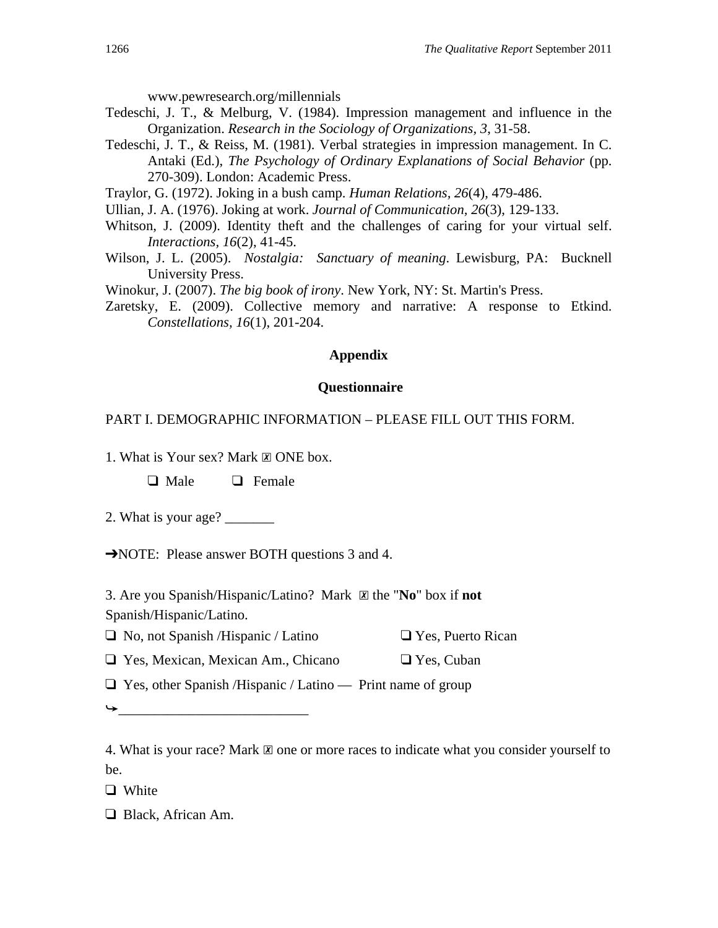www.pewresearch.org/millennials

- Tedeschi, J. T., & Melburg, V. (1984). Impression management and influence in the Organization. *Research in the Sociology of Organizations, 3*, 31-58.
- Tedeschi, J. T., & Reiss, M. (1981). Verbal strategies in impression management. In C. Antaki (Ed.), *The Psychology of Ordinary Explanations of Social Behavior* (pp. 270-309). London: Academic Press.

Traylor, G. (1972). Joking in a bush camp. *Human Relations, 26*(4), 479-486.

Ullian, J. A. (1976). Joking at work. *Journal of Communication, 26*(3), 129-133.

- Whitson, J. (2009). Identity theft and the challenges of caring for your virtual self. *Interactions, 16*(2), 41-45.
- Wilson, J. L. (2005). *Nostalgia: Sanctuary of meaning*. Lewisburg, PA: Bucknell University Press.

Winokur, J. (2007). *The big book of irony*. New York, NY: St. Martin's Press.

Zaretsky, E. (2009). Collective memory and narrative: A response to Etkind. *Constellations, 16*(1), 201-204.

## **Appendix**

## **Questionnaire**

## PART I. DEMOGRAPHIC INFORMATION – PLEASE FILL OUT THIS FORM.

1. What is Your sex? Mark ☒ ONE box.

❑ Male ❑ Female

2. What is your age?

➔NOTE: Please answer BOTH questions 3 and 4.

3. Are you Spanish/Hispanic/Latino? Mark ☒ the "**No**" box if **not** Spanish/Hispanic/Latino.

- ❑ No, not Spanish /Hispanic / Latino ❑ Yes, Puerto Rican
- ❑ Yes, Mexican, Mexican Am., Chicano ❑ Yes, Cuban

 $\Box$  Yes, other Spanish /Hispanic / Latino — Print name of group

➥\_\_\_\_\_\_\_\_\_\_\_\_\_\_\_\_\_\_\_\_\_\_\_\_\_\_\_

❑ White

❑ Black, African Am.

<sup>4.</sup> What is your race? Mark  $\mathbb Z$  one or more races to indicate what you consider yourself to be.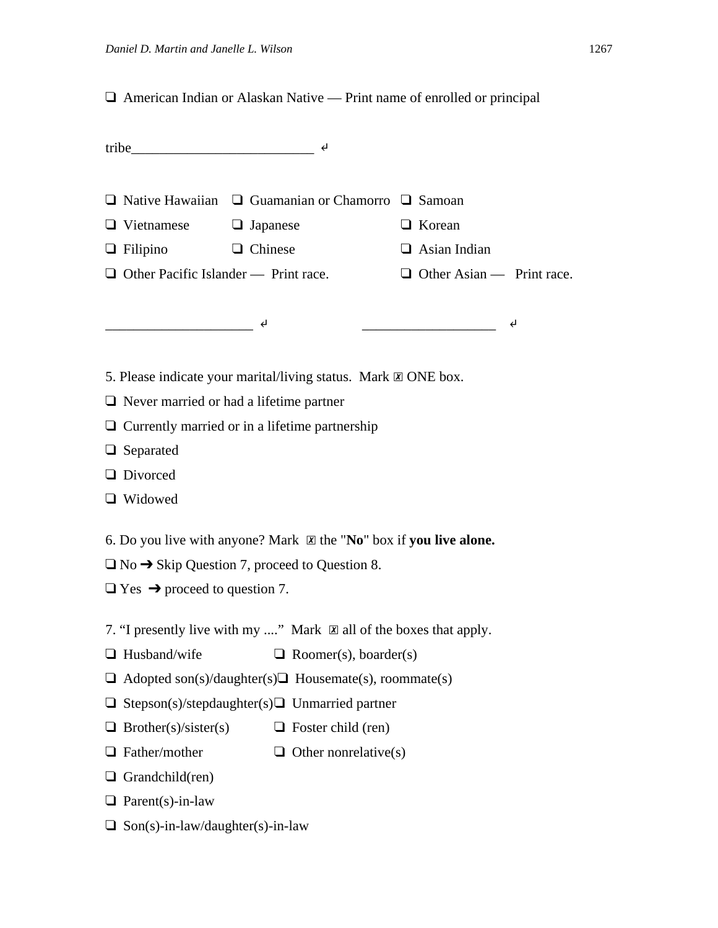❑ American Indian or Alaskan Native — Print name of enrolled or principal

| $\text{tribe}\_\text{max}$ $\leftarrow$                                                                                                                                                                                                                                                                                                                                                                                                                                         |                              |  |                                  |   |  |  |
|---------------------------------------------------------------------------------------------------------------------------------------------------------------------------------------------------------------------------------------------------------------------------------------------------------------------------------------------------------------------------------------------------------------------------------------------------------------------------------|------------------------------|--|----------------------------------|---|--|--|
|                                                                                                                                                                                                                                                                                                                                                                                                                                                                                 |                              |  |                                  |   |  |  |
| $\Box$ Native Hawaiian $\Box$ Guamanian or Chamorro $\Box$ Samoan                                                                                                                                                                                                                                                                                                                                                                                                               |                              |  |                                  |   |  |  |
| $\Box$ Vietnamese $\Box$ Japanese                                                                                                                                                                                                                                                                                                                                                                                                                                               |                              |  | $\Box$ Korean                    |   |  |  |
| $\Box$ Filipino $\Box$ Chinese                                                                                                                                                                                                                                                                                                                                                                                                                                                  |                              |  | $\Box$ Asian Indian              |   |  |  |
| $\Box$ Other Pacific Islander — Print race.                                                                                                                                                                                                                                                                                                                                                                                                                                     |                              |  | $\Box$ Other Asian — Print race. |   |  |  |
|                                                                                                                                                                                                                                                                                                                                                                                                                                                                                 |                              |  |                                  |   |  |  |
| $\overline{\phantom{a}}$ $\overline{\phantom{a}}$ $\overline{\phantom{a}}$ $\overline{\phantom{a}}$ $\overline{\phantom{a}}$ $\overline{\phantom{a}}$ $\overline{\phantom{a}}$ $\overline{\phantom{a}}$ $\overline{\phantom{a}}$ $\overline{\phantom{a}}$ $\overline{\phantom{a}}$ $\overline{\phantom{a}}$ $\overline{\phantom{a}}$ $\overline{\phantom{a}}$ $\overline{\phantom{a}}$ $\overline{\phantom{a}}$ $\overline{\phantom{a}}$ $\overline{\phantom{a}}$ $\overline{\$ |                              |  |                                  | ↵ |  |  |
|                                                                                                                                                                                                                                                                                                                                                                                                                                                                                 |                              |  |                                  |   |  |  |
| 5. Please indicate your marital/living status. Mark $\boxtimes$ ONE box.                                                                                                                                                                                                                                                                                                                                                                                                        |                              |  |                                  |   |  |  |
| $\Box$ Never married or had a lifetime partner                                                                                                                                                                                                                                                                                                                                                                                                                                  |                              |  |                                  |   |  |  |
| $\Box$ Currently married or in a lifetime partnership                                                                                                                                                                                                                                                                                                                                                                                                                           |                              |  |                                  |   |  |  |
| $\Box$ Separated                                                                                                                                                                                                                                                                                                                                                                                                                                                                |                              |  |                                  |   |  |  |
| <b>Q</b> Divorced                                                                                                                                                                                                                                                                                                                                                                                                                                                               |                              |  |                                  |   |  |  |
| $\Box$ Widowed                                                                                                                                                                                                                                                                                                                                                                                                                                                                  |                              |  |                                  |   |  |  |
|                                                                                                                                                                                                                                                                                                                                                                                                                                                                                 |                              |  |                                  |   |  |  |
| 6. Do you live with anyone? Mark $\boxtimes$ the "No" box if you live alone.                                                                                                                                                                                                                                                                                                                                                                                                    |                              |  |                                  |   |  |  |
| $\Box$ No $\rightarrow$ Skip Question 7, proceed to Question 8.                                                                                                                                                                                                                                                                                                                                                                                                                 |                              |  |                                  |   |  |  |
| $\Box$ Yes $\rightarrow$ proceed to question 7.                                                                                                                                                                                                                                                                                                                                                                                                                                 |                              |  |                                  |   |  |  |
| 7. "I presently live with my " Mark $\boxtimes$ all of the boxes that apply.                                                                                                                                                                                                                                                                                                                                                                                                    |                              |  |                                  |   |  |  |
| $\Box$ Husband/wife                                                                                                                                                                                                                                                                                                                                                                                                                                                             | $\Box$ Roomer(s), boarder(s) |  |                                  |   |  |  |
| $\Box$ Adopted son(s)/daughter(s) $\Box$ Housemate(s), roommate(s)                                                                                                                                                                                                                                                                                                                                                                                                              |                              |  |                                  |   |  |  |
| Stepson(s)/stepdaughter(s) $\Box$ Unmarried partner                                                                                                                                                                                                                                                                                                                                                                                                                             |                              |  |                                  |   |  |  |
| Brother(s)/sister(s)                                                                                                                                                                                                                                                                                                                                                                                                                                                            | $\Box$ Foster child (ren)    |  |                                  |   |  |  |
| Father/mother                                                                                                                                                                                                                                                                                                                                                                                                                                                                   | $\Box$ Other nonrelative(s)  |  |                                  |   |  |  |
| Grandchild(ren)                                                                                                                                                                                                                                                                                                                                                                                                                                                                 |                              |  |                                  |   |  |  |
| $\Box$ Parent(s)-in-law                                                                                                                                                                                                                                                                                                                                                                                                                                                         |                              |  |                                  |   |  |  |
|                                                                                                                                                                                                                                                                                                                                                                                                                                                                                 |                              |  |                                  |   |  |  |

❑ Son(s)-in-law/daughter(s)-in-law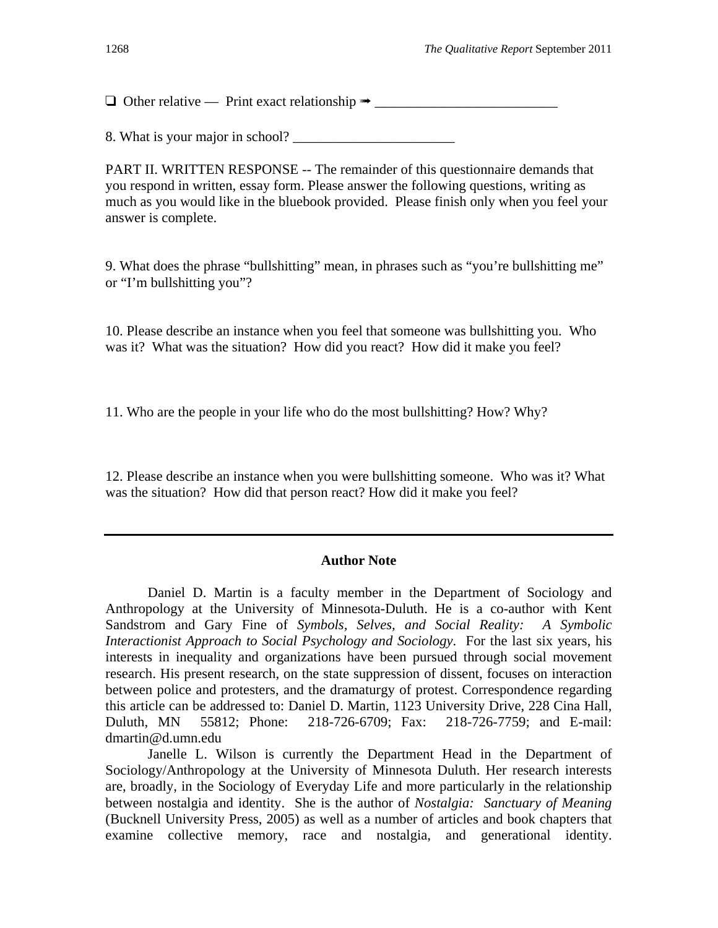$\Box$  Other relative — Print exact relationship  $\rightarrow$ 

8. What is your major in school?

PART II. WRITTEN RESPONSE -- The remainder of this questionnaire demands that you respond in written, essay form. Please answer the following questions, writing as much as you would like in the bluebook provided. Please finish only when you feel your answer is complete.

9. What does the phrase "bullshitting" mean, in phrases such as "you're bullshitting me" or "I'm bullshitting you"?

10. Please describe an instance when you feel that someone was bullshitting you. Who was it? What was the situation? How did you react? How did it make you feel?

11. Who are the people in your life who do the most bullshitting? How? Why?

12. Please describe an instance when you were bullshitting someone. Who was it? What was the situation? How did that person react? How did it make you feel?

## **Author Note**

Daniel D. Martin is a faculty member in the Department of Sociology and Anthropology at the University of Minnesota-Duluth. He is a co-author with Kent Sandstrom and Gary Fine of *Symbols, Selves, and Social Reality: A Symbolic Interactionist Approach to Social Psychology and Sociology*. For the last six years, his interests in inequality and organizations have been pursued through social movement research. His present research, on the state suppression of dissent, focuses on interaction between police and protesters, and the dramaturgy of protest. Correspondence regarding this article can be addressed to: Daniel D. Martin, 1123 University Drive, 228 Cina Hall, Duluth, MN 55812; Phone: 218-726-6709; Fax: 218-726-7759; and E-mail: dmartin@d.umn.edu

 Janelle L. Wilson is currently the Department Head in the Department of Sociology/Anthropology at the University of Minnesota Duluth. Her research interests are, broadly, in the Sociology of Everyday Life and more particularly in the relationship between nostalgia and identity. She is the author of *Nostalgia: Sanctuary of Meaning* (Bucknell University Press, 2005) as well as a number of articles and book chapters that examine collective memory, race and nostalgia, and generational identity.